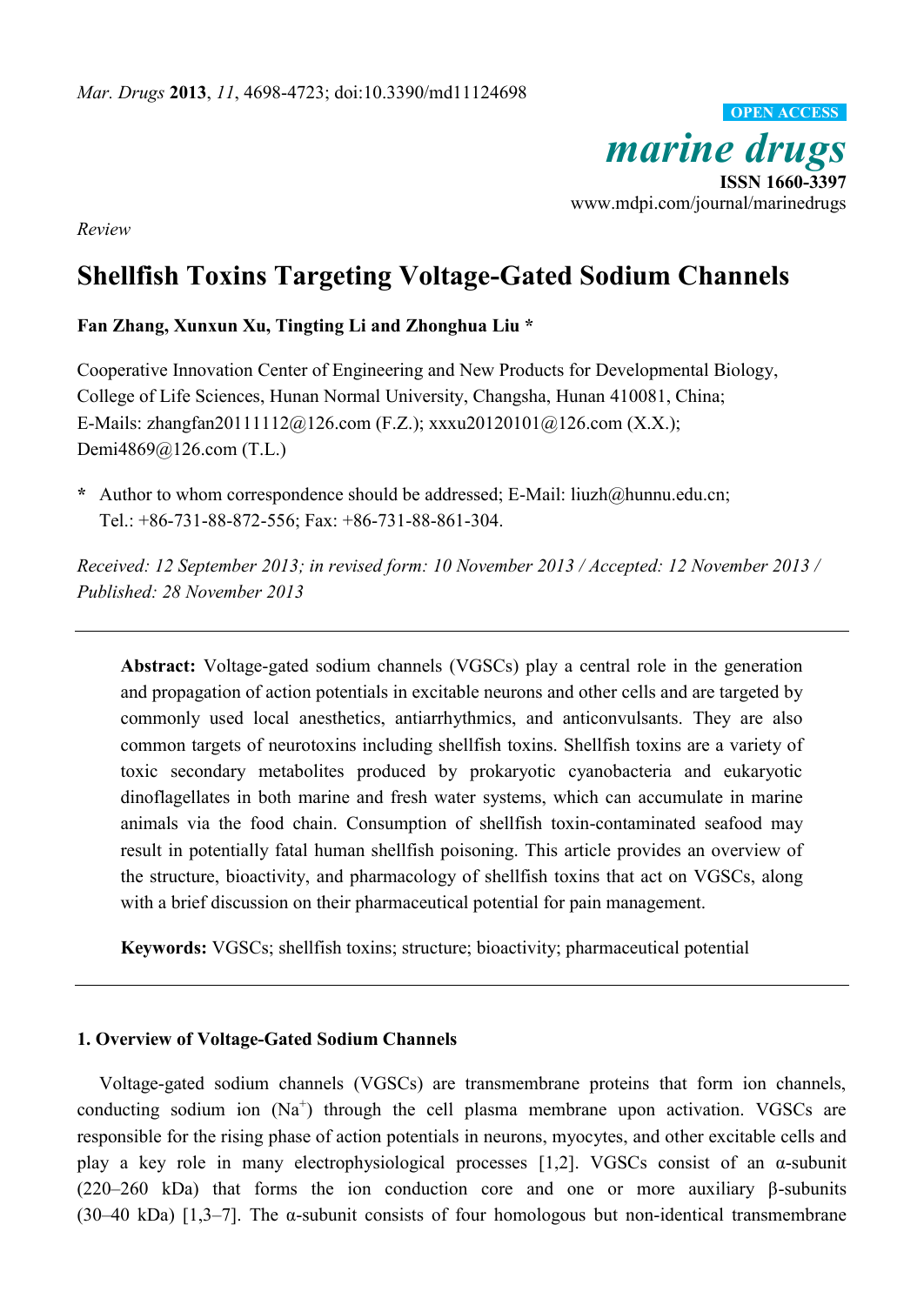

*Review*

# **Shellfish Toxins Targeting Voltage-Gated Sodium Channels**

**Fan Zhang, Xunxun Xu, Tingting Li and Zhonghua Liu \***

Cooperative Innovation Center of Engineering and New Products for Developmental Biology, College of Life Sciences, Hunan Normal University, Changsha, Hunan 410081, China; E-Mails: zhangfan20111112@126.com (F.Z.); xxxu20120101@126.com (X.X.); Demi4869@126.com (T.L.)

**\*** Author to whom correspondence should be addressed; E-Mail: liuzh@hunnu.edu.cn; Tel.: +86-731-88-872-556; Fax: +86-731-88-861-304.

*Received: 12 September 2013; in revised form: 10 November 2013 / Accepted: 12 November 2013 / Published: 28 November 2013*

**Abstract:** Voltage-gated sodium channels (VGSCs) play a central role in the generation and propagation of action potentials in excitable neurons and other cells and are targeted by commonly used local anesthetics, antiarrhythmics, and anticonvulsants. They are also common targets of neurotoxins including shellfish toxins. Shellfish toxins are a variety of toxic secondary metabolites produced by prokaryotic cyanobacteria and eukaryotic dinoflagellates in both marine and fresh water systems, which can accumulate in marine animals via the food chain. Consumption of shellfish toxin-contaminated seafood may result in potentially fatal human shellfish poisoning. This article provides an overview of the structure, bioactivity, and pharmacology of shellfish toxins that act on VGSCs, along with a brief discussion on their pharmaceutical potential for pain management.

**Keywords:** VGSCs; shellfish toxins; structure; bioactivity; pharmaceutical potential

# **1. Overview of Voltage-Gated Sodium Channels**

Voltage-gated sodium channels (VGSCs) are transmembrane proteins that form ion channels, conducting sodium ion  $(Na^+)$  through the cell plasma membrane upon activation. VGSCs are responsible for the rising phase of action potentials in neurons, myocytes, and other excitable cells and play a key role in many electrophysiological processes [1,2]. VGSCs consist of an α-subunit (220–260 kDa) that forms the ion conduction core and one or more auxiliary β-subunits (30–40 kDa) [1,3–7]. The α-subunit consists of four homologous but non-identical transmembrane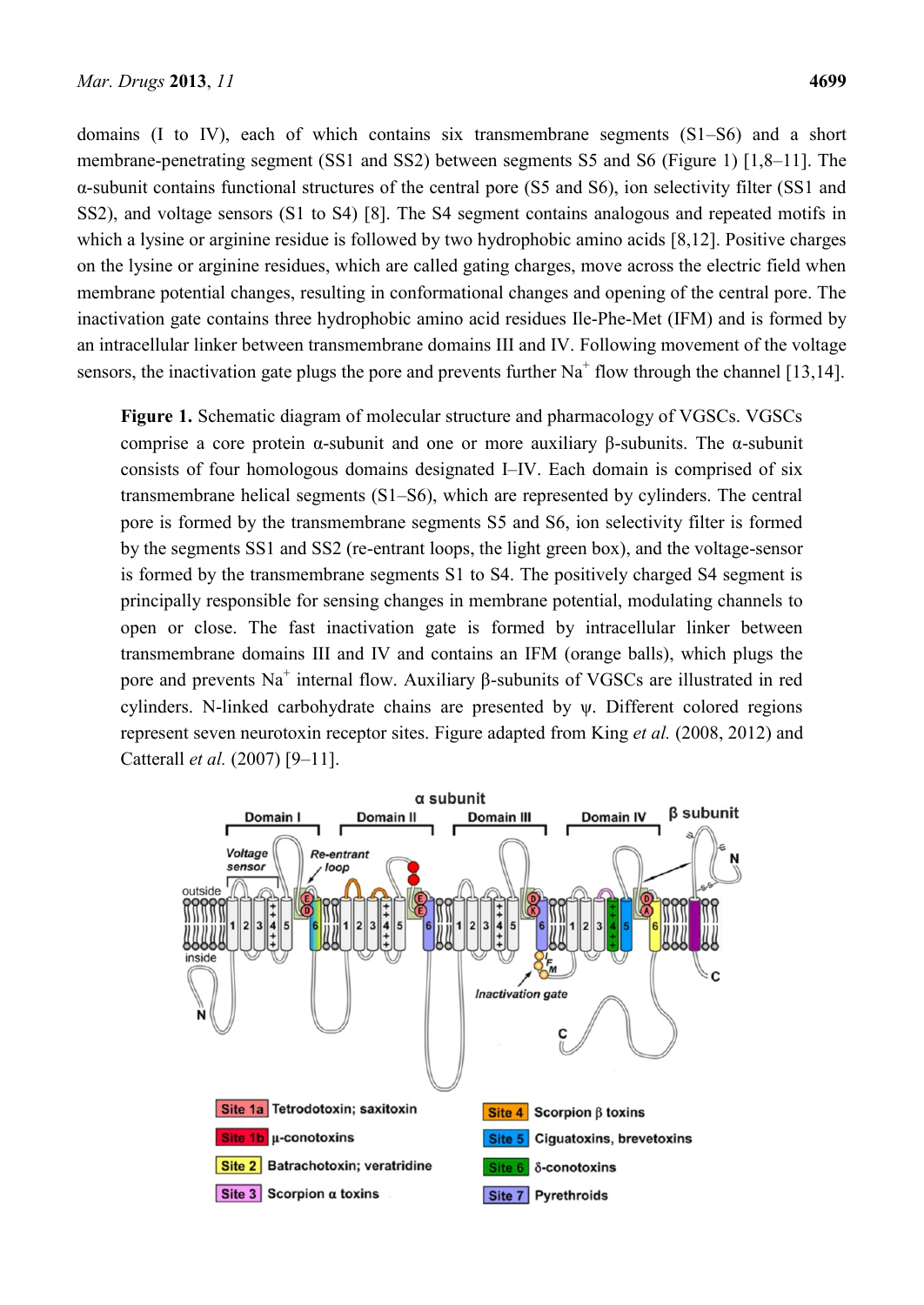domains (I to IV), each of which contains six transmembrane segments (S1–S6) and a short membrane-penetrating segment (SS1 and SS2) between segments S5 and S6 (Figure 1) [1,8–11]. The α-subunit contains functional structures of the central pore (S5 and S6), ion selectivity filter (SS1 and SS2), and voltage sensors (S1 to S4) [8]. The S4 segment contains analogous and repeated motifs in which a lysine or arginine residue is followed by two hydrophobic amino acids [8,12]. Positive charges on the lysine or arginine residues, which are called gating charges, move across the electric field when membrane potential changes, resulting in conformational changes and opening of the central pore. The inactivation gate contains three hydrophobic amino acid residues Ile-Phe-Met (IFM) and is formed by an intracellular linker between transmembrane domains III and IV. Following movement of the voltage sensors, the inactivation gate plugs the pore and prevents further  $Na<sup>+</sup>$  flow through the channel [13,14].

**Figure 1.** Schematic diagram of molecular structure and pharmacology of VGSCs. VGSCs comprise a core protein α-subunit and one or more auxiliary β-subunits. The α-subunit consists of four homologous domains designated I–IV. Each domain is comprised of six transmembrane helical segments (S1–S6), which are represented by cylinders. The central pore is formed by the transmembrane segments S5 and S6, ion selectivity filter is formed by the segments SS1 and SS2 (re-entrant loops, the light green box), and the voltage-sensor is formed by the transmembrane segments S1 to S4. The positively charged S4 segment is principally responsible for sensing changes in membrane potential, modulating channels to open or close. The fast inactivation gate is formed by intracellular linker between transmembrane domains III and IV and contains an IFM (orange balls), which plugs the pore and prevents  $Na<sup>+</sup>$  internal flow. Auxiliary  $\beta$ -subunits of VGSCs are illustrated in red cylinders. N-linked carbohydrate chains are presented by ψ. Different colored regions represent seven neurotoxin receptor sites. Figure adapted from King *et al.* (2008, 2012) and Catterall *et al.* (2007) [9–11].

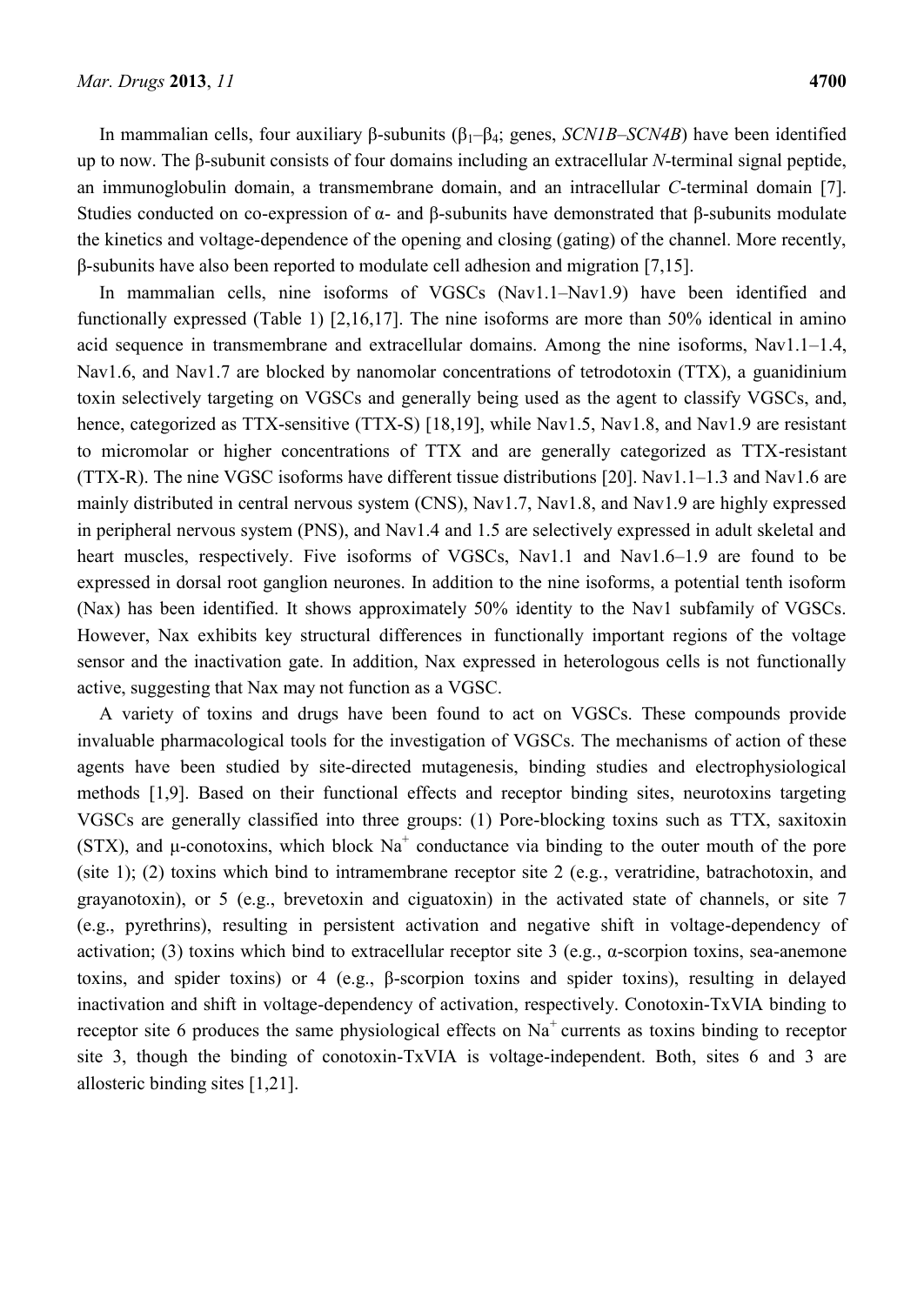In mammalian cells, four auxiliary β-subunits (β<sub>1</sub>–β<sub>4</sub>; genes, *SCN1B–SCN4B*) have been identified up to now. The β-subunit consists of four domains including an extracellular *N*-terminal signal peptide, an immunoglobulin domain, a transmembrane domain, and an intracellular *C*-terminal domain [7]. Studies conducted on co-expression of α- and β-subunits have demonstrated that β-subunits modulate the kinetics and voltage-dependence of the opening and closing (gating) of the channel. More recently, β-subunits have also been reported to modulate cell adhesion and migration [7,15].

In mammalian cells, nine isoforms of VGSCs (Nav1.1–Nav1.9) have been identified and functionally expressed (Table 1) [2,16,17]. The nine isoforms are more than 50% identical in amino acid sequence in transmembrane and extracellular domains. Among the nine isoforms, Nav1.1–1.4, Nav1.6, and Nav1.7 are blocked by nanomolar concentrations of tetrodotoxin (TTX), a guanidinium toxin selectively targeting on VGSCs and generally being used as the agent to classify VGSCs, and, hence, categorized as TTX-sensitive (TTX-S) [18,19], while Nav1.5, Nav1.8, and Nav1.9 are resistant to micromolar or higher concentrations of TTX and are generally categorized as TTX-resistant (TTX-R). The nine VGSC isoforms have different tissue distributions [20]. Nav1.1–1.3 and Nav1.6 are mainly distributed in central nervous system (CNS), Nav1.7, Nav1.8, and Nav1.9 are highly expressed in peripheral nervous system (PNS), and Nav1.4 and 1.5 are selectively expressed in adult skeletal and heart muscles, respectively. Five isoforms of VGSCs, Nav1.1 and Nav1.6–1.9 are found to be expressed in dorsal root ganglion neurones. In addition to the nine isoforms, a potential tenth isoform (Nax) has been identified. It shows approximately 50% identity to the Nav1 subfamily of VGSCs. However, Nax exhibits key structural differences in functionally important regions of the voltage sensor and the inactivation gate. In addition, Nax expressed in heterologous cells is not functionally active, suggesting that Nax may not function as a VGSC.

A variety of toxins and drugs have been found to act on VGSCs. These compounds provide invaluable pharmacological tools for the investigation of VGSCs. The mechanisms of action of these agents have been studied by site-directed mutagenesis, binding studies and electrophysiological methods [1,9]. Based on their functional effects and receptor binding sites, neurotoxins targeting VGSCs are generally classified into three groups: (1) Pore-blocking toxins such as TTX, saxitoxin (STX), and  $\mu$ -conotoxins, which block Na<sup>+</sup> conductance via binding to the outer mouth of the pore (site 1); (2) toxins which bind to intramembrane receptor site 2 (e.g., veratridine, batrachotoxin, and grayanotoxin), or 5 (e.g., brevetoxin and ciguatoxin) in the activated state of channels, or site 7 (e.g., pyrethrins), resulting in persistent activation and negative shift in voltage-dependency of activation; (3) toxins which bind to extracellular receptor site 3 (e.g.,  $\alpha$ -scorpion toxins, sea-anemone toxins, and spider toxins) or 4 (e.g., β-scorpion toxins and spider toxins), resulting in delayed inactivation and shift in voltage-dependency of activation, respectively. Conotoxin-TxVIA binding to receptor site 6 produces the same physiological effects on  $Na<sup>+</sup>$  currents as toxins binding to receptor site 3, though the binding of conotoxin-TxVIA is voltage-independent. Both, sites 6 and 3 are allosteric binding sites [1,21].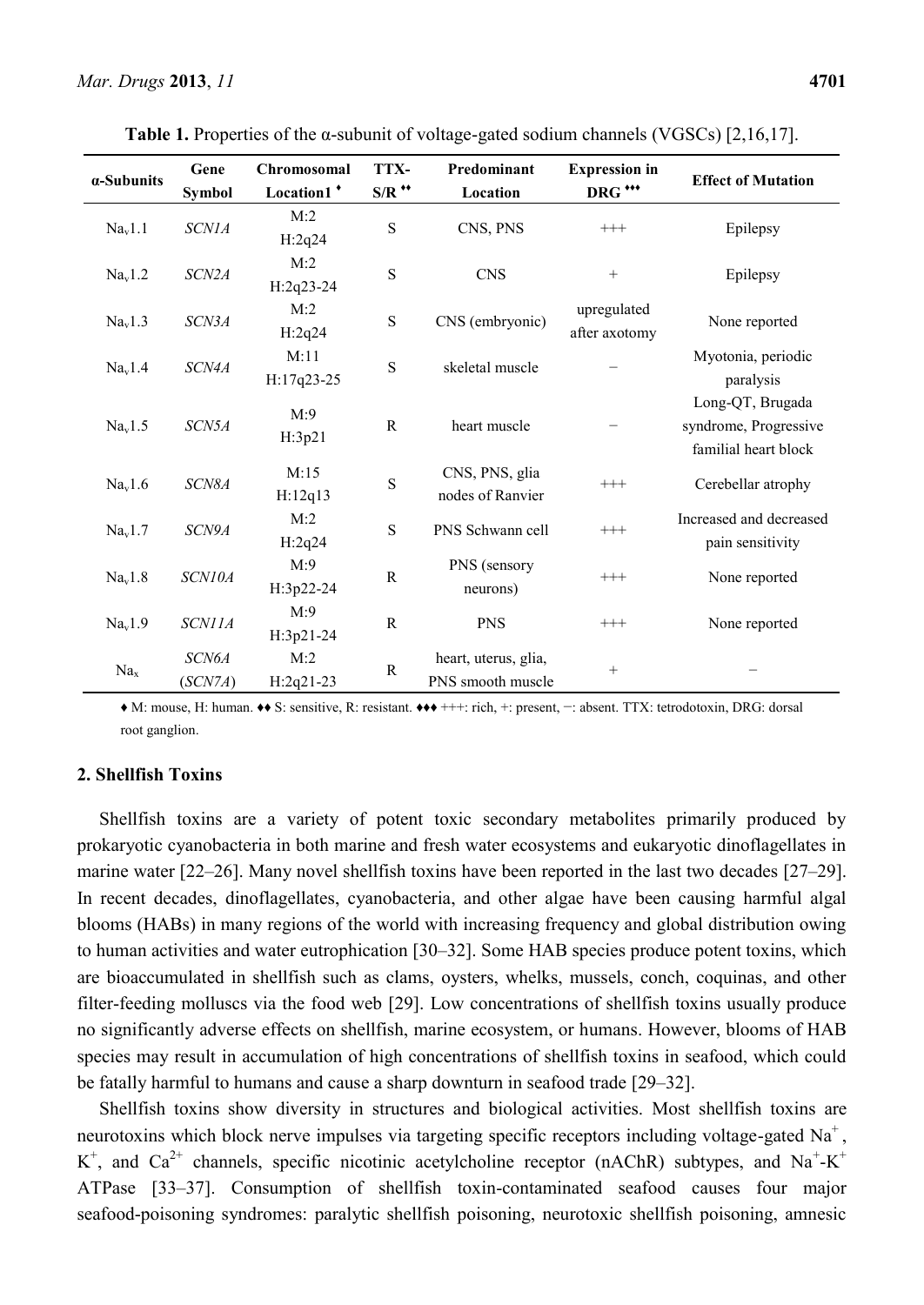| α-Subunits          | Gene             | Chromosomal<br>Location1 <sup>+</sup> | TTX-<br>$S/R$ ** | Predominant                               | <b>Expression</b> in<br>DRG *** | <b>Effect of Mutation</b>                                         |
|---------------------|------------------|---------------------------------------|------------------|-------------------------------------------|---------------------------------|-------------------------------------------------------------------|
|                     | Symbol           |                                       |                  | Location                                  |                                 |                                                                   |
| Na <sub>v</sub> 1.1 | <b>SCN1A</b>     | M:2<br>H:2q24                         | S                | CNS, PNS                                  | $^{+++}$                        | Epilepsy                                                          |
| Na <sub>v</sub> 1.2 | SCN2A            | M:2<br>$H:2q23-24$                    | S                | <b>CNS</b>                                | $\boldsymbol{+}$                | Epilepsy                                                          |
| Na <sub>v</sub> 1.3 | SCN3A            | M:2<br>H:2q24                         | S                | CNS (embryonic)                           | upregulated<br>after axotomy    | None reported                                                     |
| Na <sub>v</sub> 1.4 | SCN4A            | M:11<br>H:17q23-25                    | S                | skeletal muscle                           |                                 | Myotonia, periodic<br>paralysis                                   |
| Na <sub>v</sub> 1.5 | SCN5A            | M:9<br>H:3p21                         | ${\bf R}$        | heart muscle                              |                                 | Long-QT, Brugada<br>syndrome, Progressive<br>familial heart block |
| Na <sub>v</sub> 1.6 | SCN8A            | M:15<br>H:12q13                       | S                | CNS, PNS, glia<br>nodes of Ranvier        | $^{+++}$                        | Cerebellar atrophy                                                |
| Na <sub>v</sub> 1.7 | SCN9A            | M:2<br>H:2q24                         | S                | PNS Schwann cell                          | $+++$                           | Increased and decreased<br>pain sensitivity                       |
| Na <sub>v</sub> 1.8 | SCN10A           | M:9<br>H:3p22-24                      | $\mathbb{R}$     | PNS (sensory<br>neurons)                  | $^{+++}$                        | None reported                                                     |
| Na <sub>v</sub> 1.9 | <b>SCN11A</b>    | M:9<br>H:3p21-24                      | ${\bf R}$        | <b>PNS</b>                                | $^{+++}$                        | None reported                                                     |
| Na <sub>x</sub>     | SCN6A<br>(SCN7A) | M:2<br>$H:2q21-23$                    | ${\bf R}$        | heart, uterus, glia,<br>PNS smooth muscle | $\! + \!\!\!\!$                 |                                                                   |

**Table 1.** Properties of the  $\alpha$ -subunit of voltage-gated sodium channels (VGSCs) [2,16,17].

♦ M: mouse, H: human. ♦♦ S: sensitive, R: resistant. ♦♦♦ +++: rich, +: present, −: absent. TTX: tetrodotoxin, DRG: dorsal root ganglion.

# **2. Shellfish Toxins**

Shellfish toxins are a variety of potent toxic secondary metabolites primarily produced by prokaryotic cyanobacteria in both marine and fresh water ecosystems and eukaryotic dinoflagellates in marine water [22–26]. Many novel shellfish toxins have been reported in the last two decades [27–29]. In recent decades, dinoflagellates, cyanobacteria, and other algae have been causing harmful algal blooms (HABs) in many regions of the world with increasing frequency and global distribution owing to human activities and water eutrophication [30–32]. Some HAB species produce potent toxins, which are bioaccumulated in shellfish such as clams, oysters, whelks, mussels, conch, coquinas, and other filter-feeding molluscs via the food web [29]. Low concentrations of shellfish toxins usually produce no significantly adverse effects on shellfish, marine ecosystem, or humans. However, blooms of HAB species may result in accumulation of high concentrations of shellfish toxins in seafood, which could be fatally harmful to humans and cause a sharp downturn in seafood trade [29–32].

Shellfish toxins show diversity in structures and biological activities. Most shellfish toxins are neurotoxins which block nerve impulses via targeting specific receptors including voltage-gated  $Na<sup>+</sup>$ , K<sup>+</sup>, and Ca<sup>2+</sup> channels, specific nicotinic acetylcholine receptor (nAChR) subtypes, and Na<sup>+</sup>-K<sup>+</sup> ATPase [33–37]. Consumption of shellfish toxin-contaminated seafood causes four major seafood-poisoning syndromes: paralytic shellfish poisoning, neurotoxic shellfish poisoning, amnesic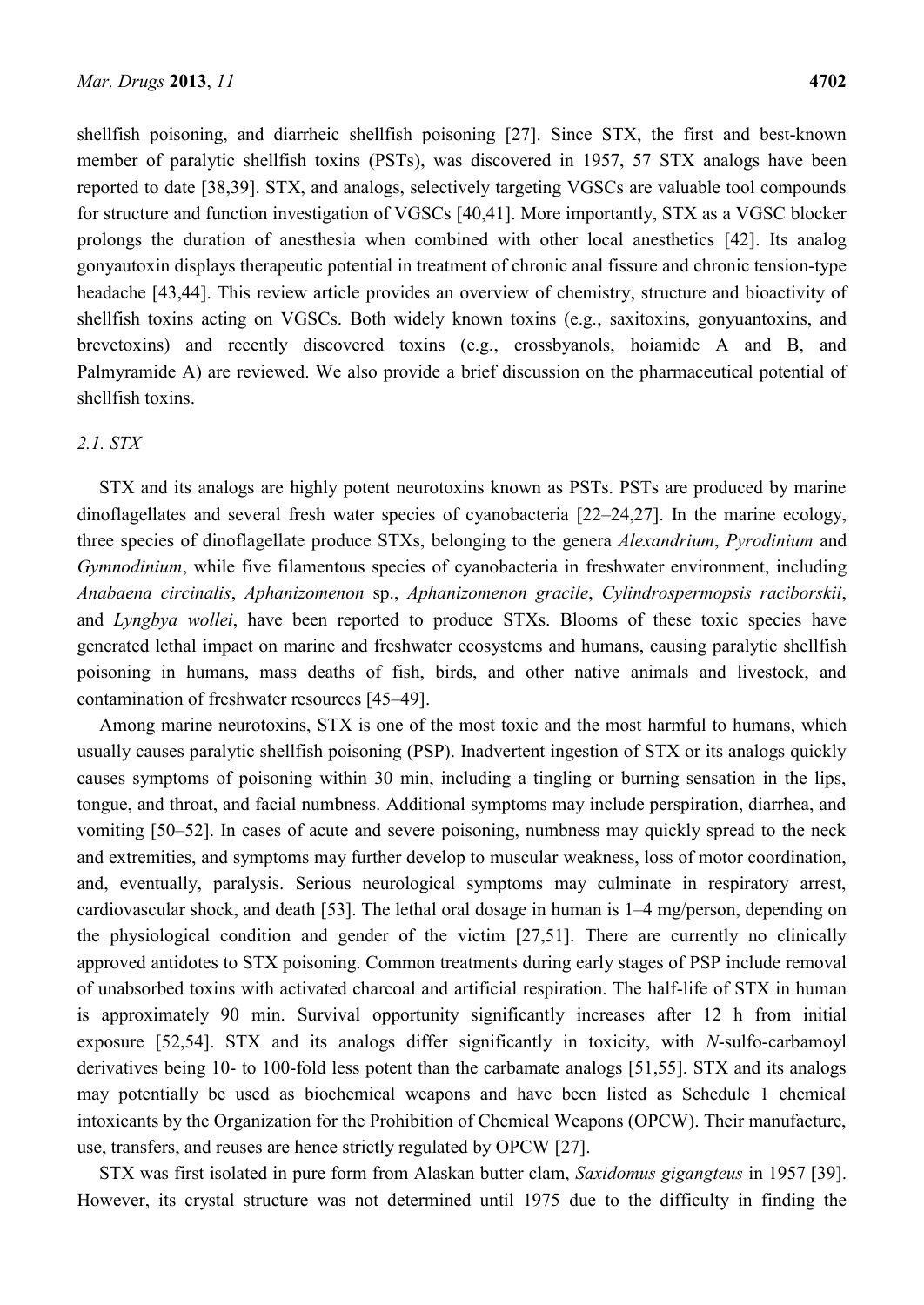shellfish poisoning, and diarrheic shellfish poisoning [27]. Since STX, the first and best-known member of paralytic shellfish toxins (PSTs), was discovered in 1957, 57 STX analogs have been reported to date [38,39]. STX, and analogs, selectively targeting VGSCs are valuable tool compounds for structure and function investigation of VGSCs [40,41]. More importantly, STX as a VGSC blocker prolongs the duration of anesthesia when combined with other local anesthetics [42]. Its analog gonyautoxin displays therapeutic potential in treatment of chronic anal fissure and chronic tension-type headache [43,44]. This review article provides an overview of chemistry, structure and bioactivity of shellfish toxins acting on VGSCs. Both widely known toxins (e.g., saxitoxins, gonyuantoxins, and brevetoxins) and recently discovered toxins (e.g., crossbyanols, hoiamide A and B, and Palmyramide A) are reviewed. We also provide a brief discussion on the pharmaceutical potential of shellfish toxins.

## *2.1. STX*

STX and its analogs are highly potent neurotoxins known as PSTs. PSTs are produced by marine dinoflagellates and several fresh water species of cyanobacteria [22–24,27]. In the marine ecology, three species of dinoflagellate produce STXs, belonging to the genera *Alexandrium*, *Pyrodinium* and *Gymnodinium*, while five filamentous species of cyanobacteria in freshwater environment, including *Anabaena circinalis*, *Aphanizomenon* sp., *Aphanizomenon gracile*, *Cylindrospermopsis raciborskii*, and *Lyngbya wollei*, have been reported to produce STXs. Blooms of these toxic species have generated lethal impact on marine and freshwater ecosystems and humans, causing paralytic shellfish poisoning in humans, mass deaths of fish, birds, and other native animals and livestock, and contamination of freshwater resources [45–49].

Among marine neurotoxins, STX is one of the most toxic and the most harmful to humans, which usually causes paralytic shellfish poisoning (PSP). Inadvertent ingestion of STX or its analogs quickly causes symptoms of poisoning within 30 min, including a tingling or burning sensation in the lips, tongue, and throat, and facial numbness. Additional symptoms may include perspiration, diarrhea, and vomiting [50–52]. In cases of acute and severe poisoning, numbness may quickly spread to the neck and extremities, and symptoms may further develop to muscular weakness, loss of motor coordination, and, eventually, paralysis. Serious neurological symptoms may culminate in respiratory arrest, cardiovascular shock, and death [53]. The lethal oral dosage in human is 1–4 mg/person, depending on the physiological condition and gender of the victim [27,51]. There are currently no clinically approved antidotes to STX poisoning. Common treatments during early stages of PSP include removal of unabsorbed toxins with activated charcoal and artificial respiration. The half-life of STX in human is approximately 90 min. Survival opportunity significantly increases after 12 h from initial exposure [52,54]. STX and its analogs differ significantly in toxicity, with *N*-sulfo-carbamoyl derivatives being 10- to 100-fold less potent than the carbamate analogs [51,55]. STX and its analogs may potentially be used as biochemical weapons and have been listed as Schedule 1 chemical intoxicants by the Organization for the Prohibition of Chemical Weapons (OPCW). Their manufacture, use, transfers, and reuses are hence strictly regulated by OPCW [27].

STX was first isolated in pure form from Alaskan butter clam, *Saxidomus gigangteus* in 1957 [39]. However, its crystal structure was not determined until 1975 due to the difficulty in finding the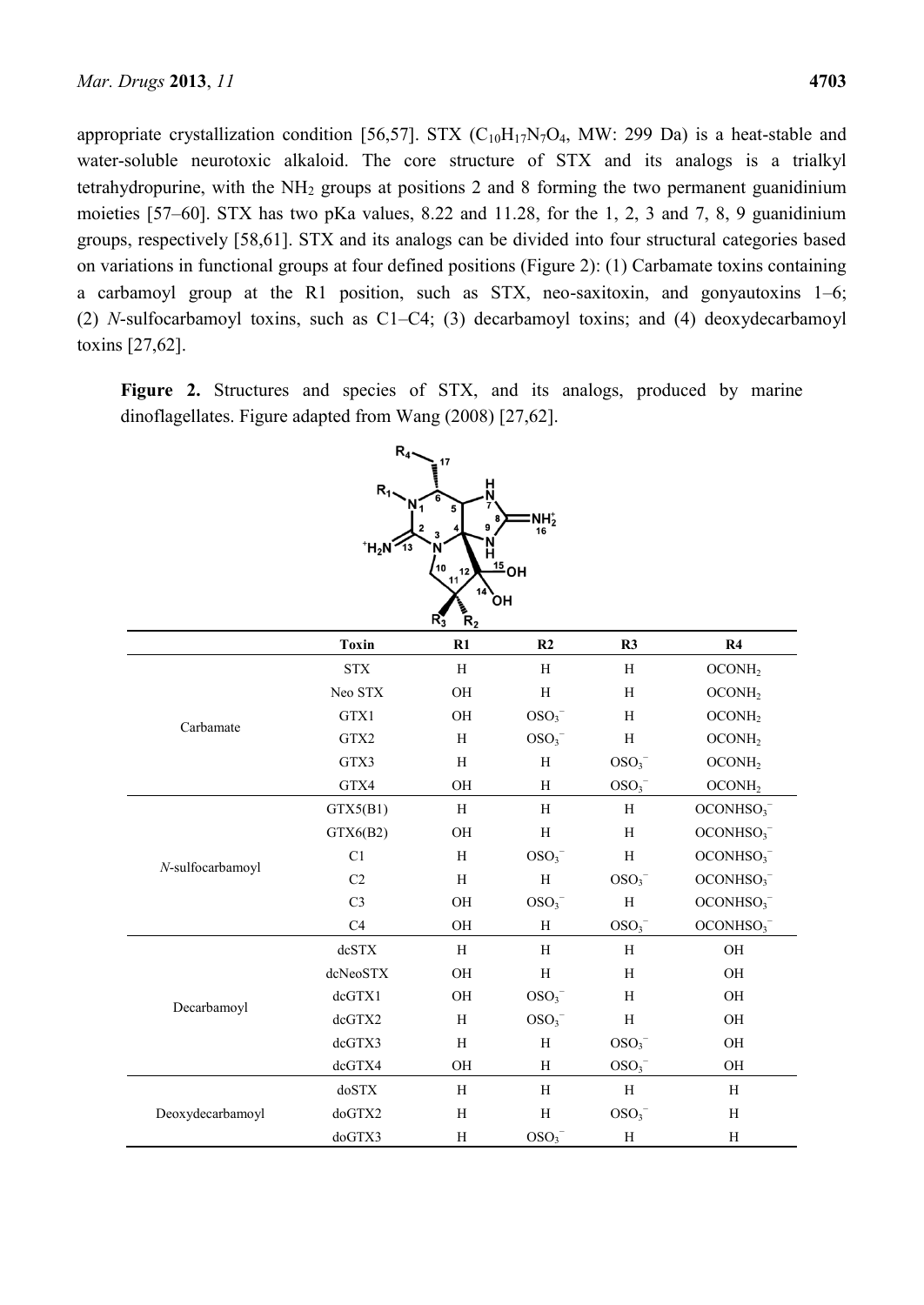appropriate crystallization condition [56,57]. STX  $(C_{10}H_{17}N_7O_4$ , MW: 299 Da) is a heat-stable and water-soluble neurotoxic alkaloid. The core structure of STX and its analogs is a trialkyl tetrahydropurine, with the  $NH<sub>2</sub>$  groups at positions 2 and 8 forming the two permanent guanidinium moieties [57–60]. STX has two pKa values, 8.22 and 11.28, for the 1, 2, 3 and 7, 8, 9 guanidinium groups, respectively [58,61]. STX and its analogs can be divided into four structural categories based on variations in functional groups at four defined positions (Figure 2): (1) Carbamate toxins containing a carbamoyl group at the R1 position, such as STX, neo-saxitoxin, and gonyautoxins 1–6; (2) *N*-sulfocarbamoyl toxins, such as C1–C4; (3) decarbamoyl toxins; and (4) deoxydecarbamoyl toxins [27,62].

Figure 2. Structures and species of STX, and its analogs, produced by marine dinoflagellates. Figure adapted from Wang (2008) [27,62].

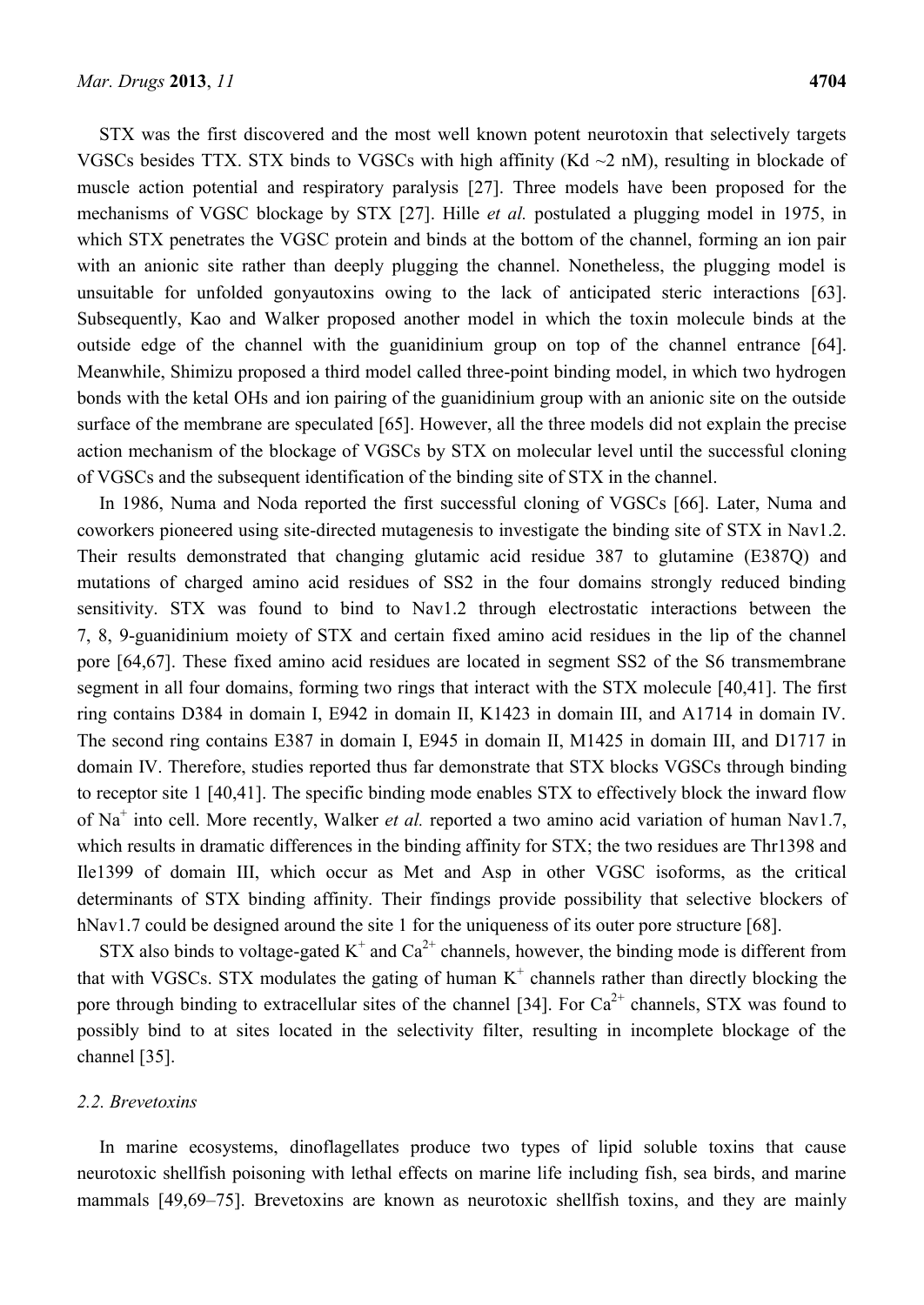STX was the first discovered and the most well known potent neurotoxin that selectively targets VGSCs besides TTX. STX binds to VGSCs with high affinity (Kd  $\sim$ 2 nM), resulting in blockade of muscle action potential and respiratory paralysis [27]. Three models have been proposed for the mechanisms of VGSC blockage by STX [27]. Hille *et al.* postulated a plugging model in 1975, in which STX penetrates the VGSC protein and binds at the bottom of the channel, forming an ion pair with an anionic site rather than deeply plugging the channel. Nonetheless, the plugging model is unsuitable for unfolded gonyautoxins owing to the lack of anticipated steric interactions [63]. Subsequently, Kao and Walker proposed another model in which the toxin molecule binds at the outside edge of the channel with the guanidinium group on top of the channel entrance [64]. Meanwhile, Shimizu proposed a third model called three-point binding model, in which two hydrogen bonds with the ketal OHs and ion pairing of the guanidinium group with an anionic site on the outside surface of the membrane are speculated [65]. However, all the three models did not explain the precise action mechanism of the blockage of VGSCs by STX on molecular level until the successful cloning of VGSCs and the subsequent identification of the binding site of STX in the channel.

In 1986, Numa and Noda reported the first successful cloning of VGSCs [66]. Later, Numa and coworkers pioneered using site-directed mutagenesis to investigate the binding site of STX in Nav1.2. Their results demonstrated that changing glutamic acid residue 387 to glutamine (E387Q) and mutations of charged amino acid residues of SS2 in the four domains strongly reduced binding sensitivity. STX was found to bind to Nav1.2 through electrostatic interactions between the 7, 8, 9-guanidinium moiety of STX and certain fixed amino acid residues in the lip of the channel pore [64,67]. These fixed amino acid residues are located in segment SS2 of the S6 transmembrane segment in all four domains, forming two rings that interact with the STX molecule [40,41]. The first ring contains D384 in domain I, E942 in domain II, K1423 in domain III, and A1714 in domain IV. The second ring contains E387 in domain I, E945 in domain II, M1425 in domain III, and D1717 in domain IV. Therefore, studies reported thus far demonstrate that STX blocks VGSCs through binding to receptor site 1 [40,41]. The specific binding mode enables STX to effectively block the inward flow of Na<sup>+</sup> into cell. More recently, Walker *et al.* reported a two amino acid variation of human Nav1.7, which results in dramatic differences in the binding affinity for STX; the two residues are Thr1398 and Ile1399 of domain III, which occur as Met and Asp in other VGSC isoforms, as the critical determinants of STX binding affinity. Their findings provide possibility that selective blockers of hNav1.7 could be designed around the site 1 for the uniqueness of its outer pore structure [68].

STX also binds to voltage-gated  $K^+$  and  $Ca^{2+}$  channels, however, the binding mode is different from that with VGSCs. STX modulates the gating of human  $K^+$  channels rather than directly blocking the pore through binding to extracellular sites of the channel [34]. For  $Ca^{2+}$  channels, STX was found to possibly bind to at sites located in the selectivity filter, resulting in incomplete blockage of the channel [35].

### *2.2. Brevetoxins*

In marine ecosystems, dinoflagellates produce two types of lipid soluble toxins that cause neurotoxic shellfish poisoning with lethal effects on marine life including fish, sea birds, and marine mammals [49,69–75]. Brevetoxins are known as neurotoxic shellfish toxins, and they are mainly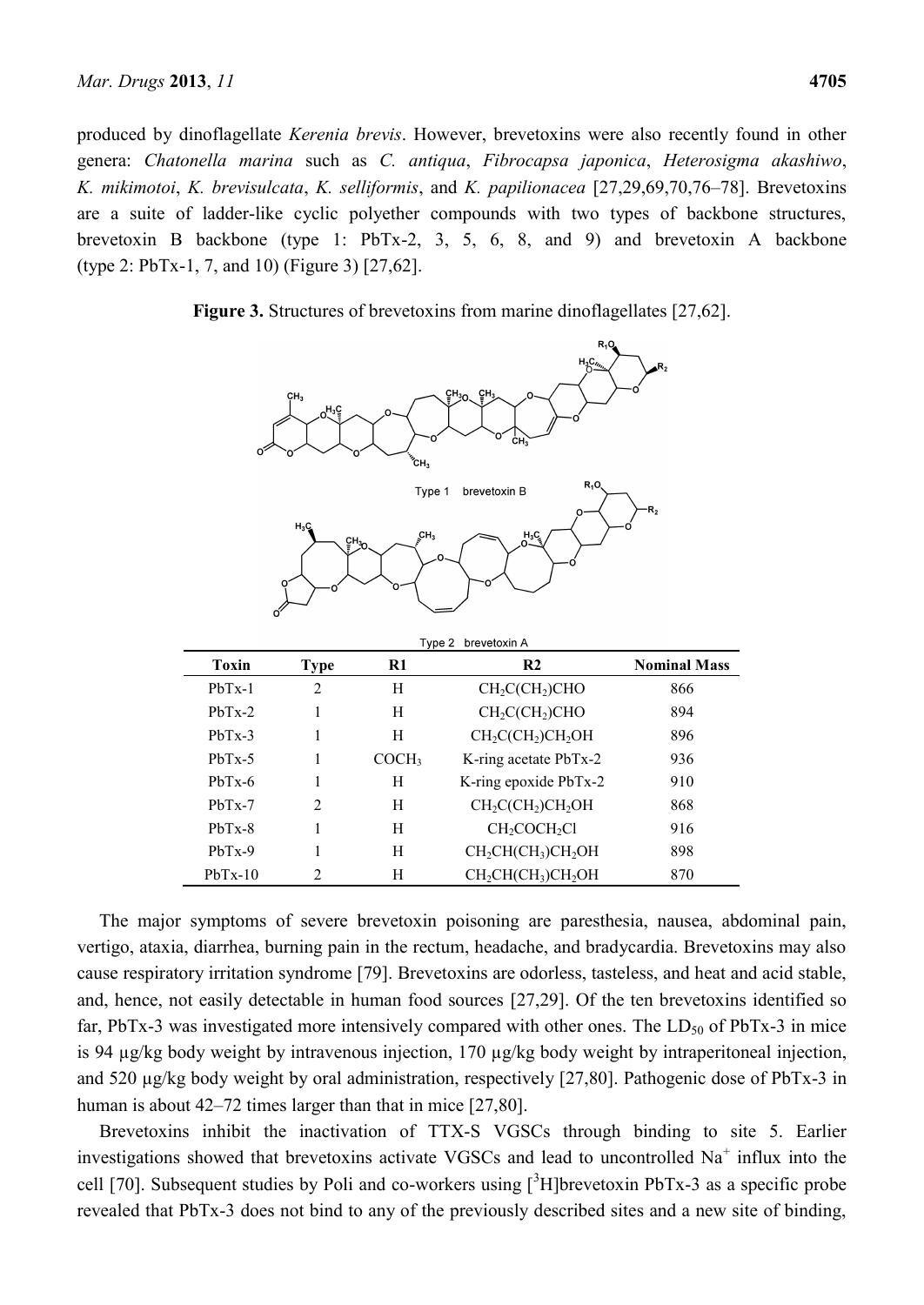produced by dinoflagellate *Kerenia brevis*. However, brevetoxins were also recently found in other genera: *Chatonella marina* such as *C. antiqua*, *Fibrocapsa japonica*, *Heterosigma akashiwo*, *K. mikimotoi*, *K. brevisulcata*, *K. selliformis*, and *K. papilionacea* [27,29,69,70,76–78]. Brevetoxins are a suite of ladder-like cyclic polyether compounds with two types of backbone structures, brevetoxin B backbone (type 1: PbTx-2, 3, 5, 6, 8, and 9) and brevetoxin A backbone (type 2: PbTx-1, 7, and 10) (Figure 3) [27,62].

**Figure 3.** Structures of brevetoxins from marine dinoflagellates [27,62].

 $\overline{a}$ 

| $H_3C_{\frac{\mu_{\nu_{\nu}}}{C}}$<br>$R_2$<br>CH <sub>30</sub> CH <sub>3</sub><br>CH <sub>3</sub><br>C<br>oH <sub>3</sub> C<br>CH,<br>o<br>$K_{\rm C}H_{\rm 3}$ |                |                   |                                       |                     |  |  |  |  |  |
|------------------------------------------------------------------------------------------------------------------------------------------------------------------|----------------|-------------------|---------------------------------------|---------------------|--|--|--|--|--|
| $R_1$ O<br>Type 1<br>brevetoxin B                                                                                                                                |                |                   |                                       |                     |  |  |  |  |  |
| $R_{2}$<br>o<br>$H_3C$<br>$\int_{s}^{C} H_3$<br>$H_3C$<br>$CH_{3n}$<br>Type 2<br>brevetoxin A                                                                    |                |                   |                                       |                     |  |  |  |  |  |
| <b>Toxin</b>                                                                                                                                                     | <b>Type</b>    | R1                | R <sub>2</sub>                        | <b>Nominal Mass</b> |  |  |  |  |  |
| $PbTx-1$                                                                                                                                                         | $\overline{2}$ | H                 | CH <sub>2</sub> CCH <sub>2</sub> )CHO | 866                 |  |  |  |  |  |
| $PbTx-2$                                                                                                                                                         | $\mathbf{1}$   | H                 | CH <sub>2</sub> CCH <sub>2</sub> )CHO | 894                 |  |  |  |  |  |
| $PbTx-3$                                                                                                                                                         | 1              | Η                 | $CH_2C(CH_2)CH_2OH$                   | 896                 |  |  |  |  |  |
| $PbTx-5$                                                                                                                                                         | 1              | COCH <sub>3</sub> | K-ring acetate PbTx-2                 | 936                 |  |  |  |  |  |
| $PbTx-6$                                                                                                                                                         | 1              | H                 | K-ring epoxide PbTx-2                 | 910                 |  |  |  |  |  |
| PbTx-7                                                                                                                                                           | $\overline{c}$ | H                 | $CH2CCH2)CH2OH$                       | 868                 |  |  |  |  |  |
| PbTx-8                                                                                                                                                           | $\mathbf{1}$   | H                 | CH <sub>2</sub> COCH <sub>2</sub> Cl  | 916                 |  |  |  |  |  |
| $PbTx-9$                                                                                                                                                         | 1              | H                 | $CH2CH(CH3)CH2OH$                     | 898                 |  |  |  |  |  |
| $PbTx-10$                                                                                                                                                        | $\overline{2}$ | H                 | $CH2CH(CH3)CH2OH$                     | 870                 |  |  |  |  |  |

The major symptoms of severe brevetoxin poisoning are paresthesia, nausea, abdominal pain, vertigo, ataxia, diarrhea, burning pain in the rectum, headache, and bradycardia. Brevetoxins may also cause respiratory irritation syndrome [79]. Brevetoxins are odorless, tasteless, and heat and acid stable, and, hence, not easily detectable in human food sources [27,29]. Of the ten brevetoxins identified so far, PbTx-3 was investigated more intensively compared with other ones. The  $LD_{50}$  of PbTx-3 in mice is 94 µg/kg body weight by intravenous injection, 170 µg/kg body weight by intraperitoneal injection, and 520 µg/kg body weight by oral administration, respectively [27,80]. Pathogenic dose of PbTx-3 in human is about 42–72 times larger than that in mice [27,80].

Brevetoxins inhibit the inactivation of TTX-S VGSCs through binding to site 5. Earlier investigations showed that brevetoxins activate VGSCs and lead to uncontrolled  $Na<sup>+</sup>$  influx into the cell [70]. Subsequent studies by Poli and co-workers using  $\int^3 H$ ]brevetoxin PbTx-3 as a specific probe revealed that PbTx-3 does not bind to any of the previously described sites and a new site of binding,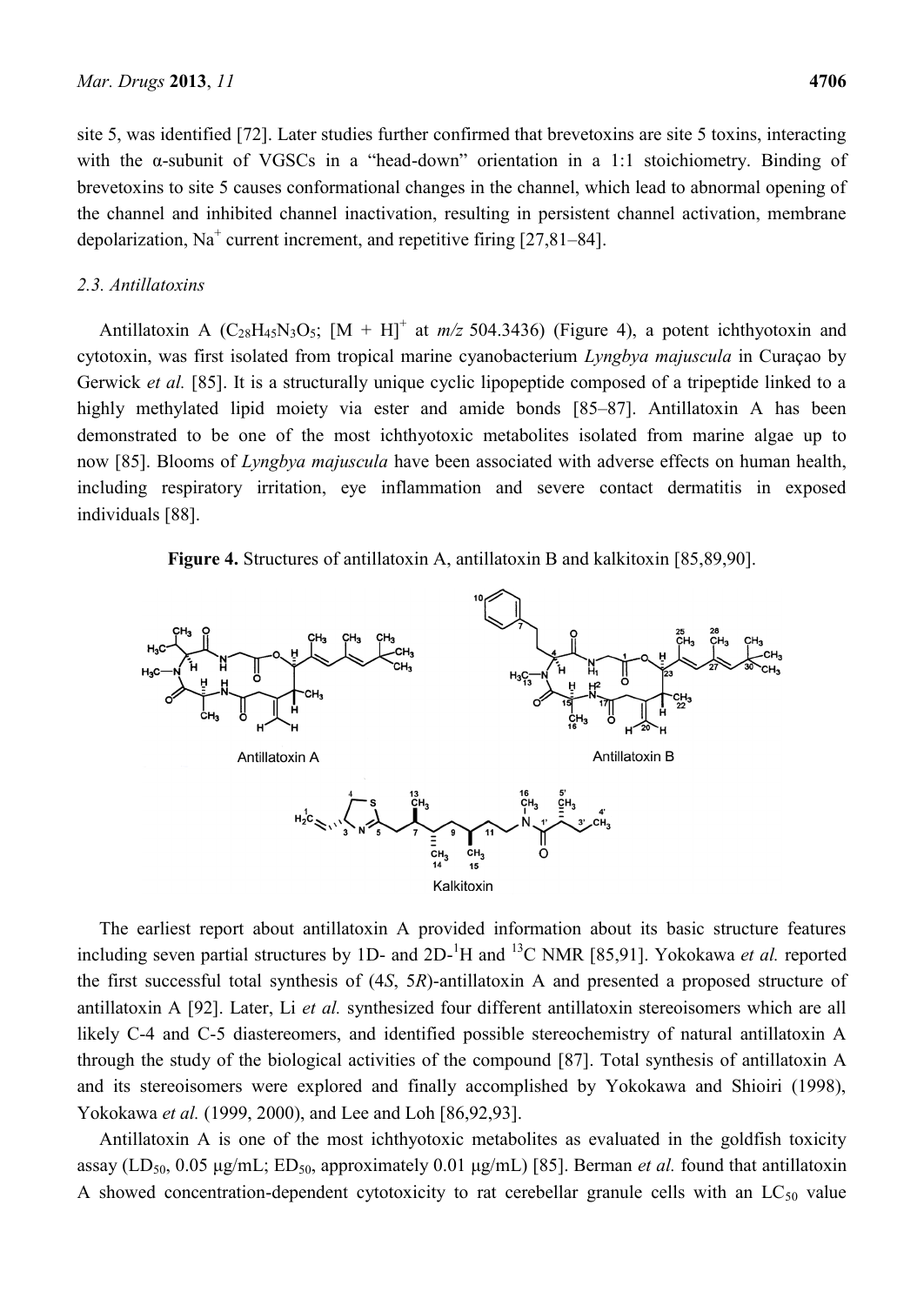site 5, was identified [72]. Later studies further confirmed that brevetoxins are site 5 toxins, interacting with the α-subunit of VGSCs in a "head-down" orientation in a 1:1 stoichiometry. Binding of brevetoxins to site 5 causes conformational changes in the channel, which lead to abnormal opening of the channel and inhibited channel inactivation, resulting in persistent channel activation, membrane depolarization,  $Na<sup>+</sup>$  current increment, and repetitive firing [27,81–84].

# *2.3. Antillatoxins*

Antillatoxin A ( $C_{28}H_{45}N_3O_5$ ;  $[M + H]^+$  at  $m/z$  504.3436) (Figure 4), a potent ichthyotoxin and cytotoxin, was first isolated from tropical marine cyanobacterium *Lyngbya majuscula* in Curaçao by Gerwick *et al.* [85]. It is a structurally unique cyclic lipopeptide composed of a tripeptide linked to a highly methylated lipid moiety via ester and amide bonds [85–87]. Antillatoxin A has been demonstrated to be one of the most ichthyotoxic metabolites isolated from marine algae up to now [85]. Blooms of *Lyngbya majuscula* have been associated with adverse effects on human health, including respiratory irritation, eye inflammation and severe contact dermatitis in exposed individuals [88].

**Figure 4.** Structures of antillatoxin A, antillatoxin B and kalkitoxin [85,89,90].



The earliest report about antillatoxin A provided information about its basic structure features including seven partial structures by 1D- and 2D-<sup>1</sup>H and <sup>13</sup>C NMR [85,91]. Yokokawa *et al.* reported the first successful total synthesis of (4*S*, 5*R*)-antillatoxin A and presented a proposed structure of antillatoxin A [92]. Later, Li *et al.* synthesized four different antillatoxin stereoisomers which are all likely C-4 and C-5 diastereomers, and identified possible stereochemistry of natural antillatoxin A through the study of the biological activities of the compound [87]. Total synthesis of antillatoxin A and its stereoisomers were explored and finally accomplished by Yokokawa and Shioiri (1998), Yokokawa *et al.* (1999, 2000), and Lee and Loh [86,92,93].

Antillatoxin A is one of the most ichthyotoxic metabolites as evaluated in the goldfish toxicity assay (LD<sub>50</sub>, 0.05 μg/mL; ED<sub>50</sub>, approximately 0.01 μg/mL) [85]. Berman *et al.* found that antillatoxin A showed concentration-dependent cytotoxicity to rat cerebellar granule cells with an  $LC_{50}$  value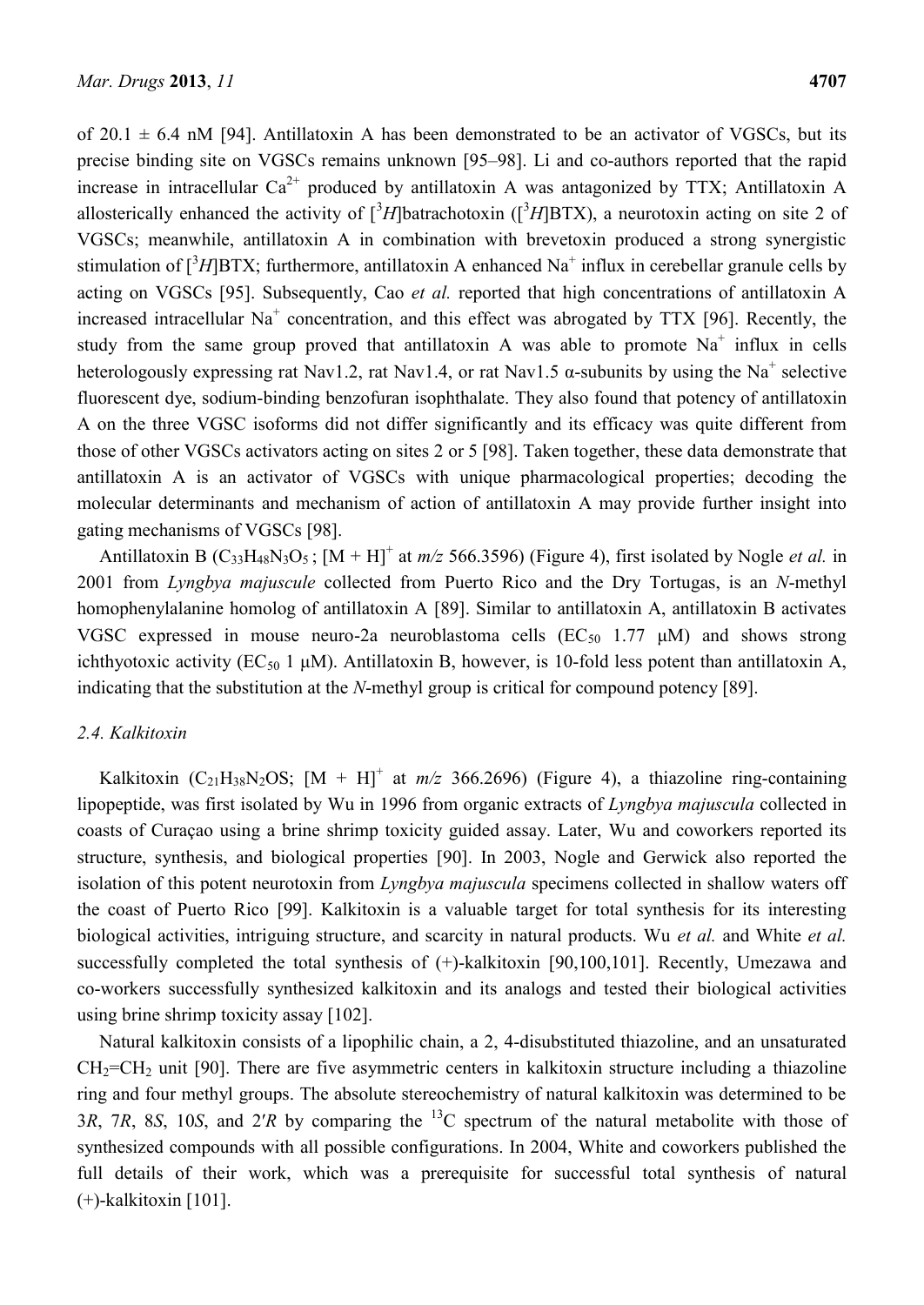of 20.1  $\pm$  6.4 nM [94]. Antillatoxin A has been demonstrated to be an activator of VGSCs, but its precise binding site on VGSCs remains unknown [95–98]. Li and co-authors reported that the rapid increase in intracellular  $Ca^{2+}$  produced by antillatoxin A was antagonized by TTX; Antillatoxin A allosterically enhanced the activity of  $[{}^3H]$ batrachotoxin ( $[{}^3H]$ BTX), a neurotoxin acting on site 2 of VGSCs; meanwhile, antillatoxin A in combination with brevetoxin produced a strong synergistic stimulation of [<sup>3</sup>H]BTX; furthermore, antillatoxin A enhanced Na<sup>+</sup> influx in cerebellar granule cells by acting on VGSCs [95]. Subsequently, Cao *et al.* reported that high concentrations of antillatoxin A increased intracellular Na<sup>+</sup> concentration, and this effect was abrogated by TTX [96]. Recently, the study from the same group proved that antillatoxin A was able to promote  $Na<sup>+</sup>$  influx in cells heterologously expressing rat Nav1.2, rat Nav1.4, or rat Nav1.5  $\alpha$ -subunits by using the Na<sup>+</sup> selective fluorescent dye, sodium-binding benzofuran isophthalate. They also found that potency of antillatoxin A on the three VGSC isoforms did not differ significantly and its efficacy was quite different from those of other VGSCs activators acting on sites 2 or 5 [98]. Taken together, these data demonstrate that antillatoxin A is an activator of VGSCs with unique pharmacological properties; decoding the molecular determinants and mechanism of action of antillatoxin A may provide further insight into gating mechanisms of VGSCs [98].

Antillatoxin B ( $C_{33}H_{48}N_3O_5$ ;  $[M + H]^+$  at  $m/z$  566.3596) (Figure 4), first isolated by Nogle *et al.* in 2001 from *Lyngbya majuscule* collected from Puerto Rico and the Dry Tortugas, is an *N*-methyl homophenylalanine homolog of antillatoxin A [89]. Similar to antillatoxin A, antillatoxin B activates VGSC expressed in mouse neuro-2a neuroblastoma cells  $(EC_{50}$  1.77  $\mu$ M) and shows strong ichthyotoxic activity ( $EC_{50}$  1  $\mu$ M). Antillatoxin B, however, is 10-fold less potent than antillatoxin A, indicating that the substitution at the *N*-methyl group is critical for compound potency [89].

# *2.4. Kalkitoxin*

Kalkitoxin (C<sub>21</sub>H<sub>38</sub>N<sub>2</sub>OS; [M + H]<sup>+</sup> at *m/z* 366.2696) (Figure 4), a thiazoline ring-containing lipopeptide, was first isolated by Wu in 1996 from organic extracts of *Lyngbya majuscula* collected in coasts of Curaçao using a brine shrimp toxicity guided assay. Later, Wu and coworkers reported its structure, synthesis, and biological properties [90]. In 2003, Nogle and Gerwick also reported the isolation of this potent neurotoxin from *Lyngbya majuscula* specimens collected in shallow waters off the coast of Puerto Rico [99]. Kalkitoxin is a valuable target for total synthesis for its interesting biological activities, intriguing structure, and scarcity in natural products. Wu *et al.* and White *et al.* successfully completed the total synthesis of  $(+)$ -kalkitoxin [90,100,101]. Recently, Umezawa and co-workers successfully synthesized kalkitoxin and its analogs and tested their biological activities using brine shrimp toxicity assay [102].

Natural kalkitoxin consists of a lipophilic chain, a 2, 4-disubstituted thiazoline, and an unsaturated  $CH_2=CH_2$  unit [90]. There are five asymmetric centers in kalkitoxin structure including a thiazoline ring and four methyl groups. The absolute stereochemistry of natural kalkitoxin was determined to be 3*R*, 7*R*, 8*S*, 10*S*, and 2′*R* by comparing the <sup>13</sup>C spectrum of the natural metabolite with those of synthesized compounds with all possible configurations. In 2004, White and coworkers published the full details of their work, which was a prerequisite for successful total synthesis of natural (+)-kalkitoxin [101].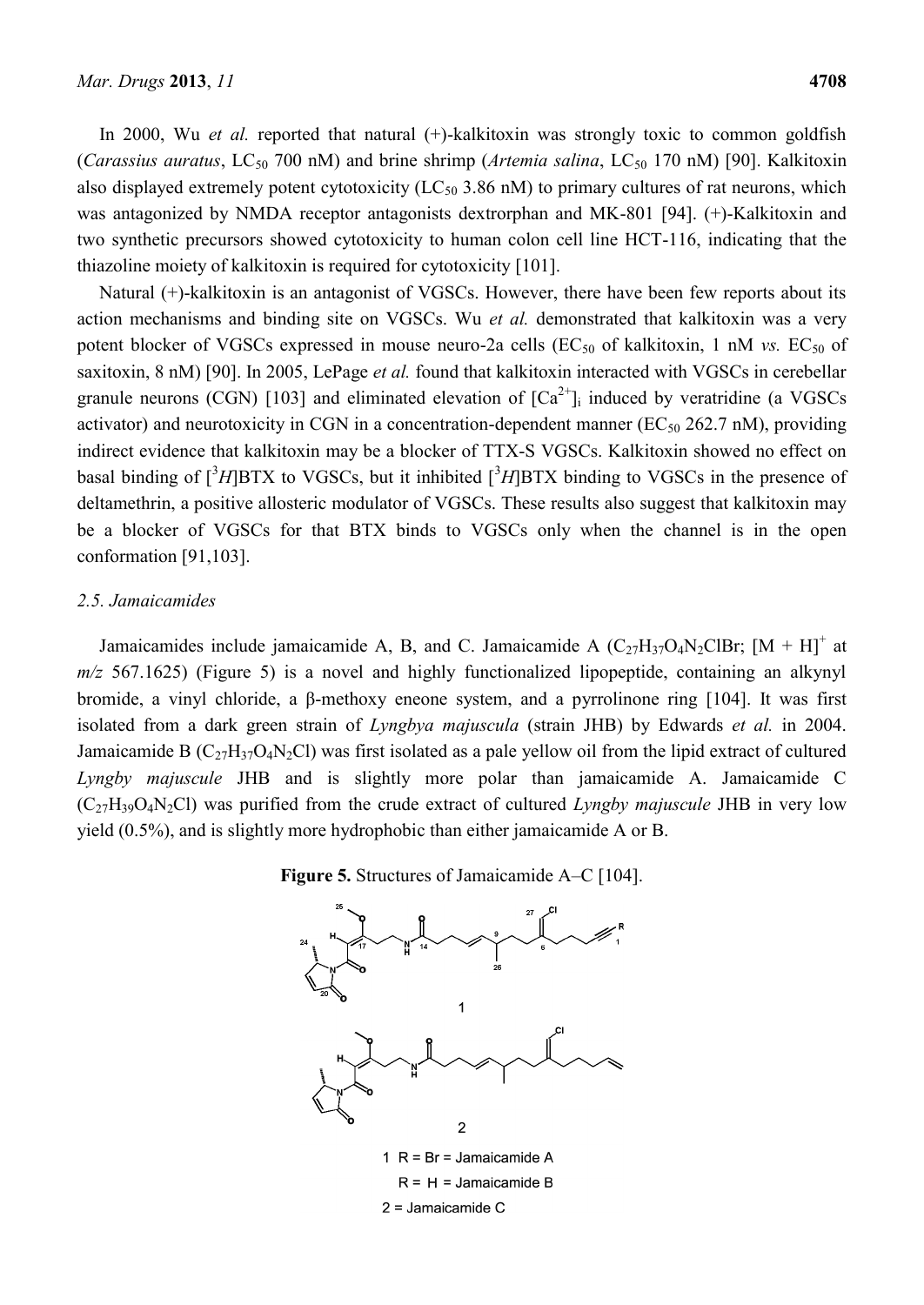In 2000, Wu *et al.* reported that natural (+)-kalkitoxin was strongly toxic to common goldfish (*Carassius auratus*, LC<sub>50</sub> 700 nM) and brine shrimp (*Artemia salina*, LC<sub>50</sub> 170 nM) [90]. Kalkitoxin also displayed extremely potent cytotoxicity  $(LC_{50} 3.86 \text{ nM})$  to primary cultures of rat neurons, which was antagonized by NMDA receptor antagonists dextrorphan and MK-801 [94]. (+)-Kalkitoxin and two synthetic precursors showed cytotoxicity to human colon cell line HCT-116, indicating that the thiazoline moiety of kalkitoxin is required for cytotoxicity [101].

Natural (+)-kalkitoxin is an antagonist of VGSCs. However, there have been few reports about its action mechanisms and binding site on VGSCs. Wu *et al.* demonstrated that kalkitoxin was a very potent blocker of VGSCs expressed in mouse neuro-2a cells  $(EC_{50}$  of kalkitoxin, 1 nM *vs.*  $EC_{50}$  of saxitoxin, 8 nM) [90]. In 2005, LePage *et al.* found that kalkitoxin interacted with VGSCs in cerebellar granule neurons (CGN) [103] and eliminated elevation of  $[Ca<sup>2+</sup>]$  induced by veratridine (a VGSCs activator) and neurotoxicity in CGN in a concentration-dependent manner ( $EC_{50}$  262.7 nM), providing indirect evidence that kalkitoxin may be a blocker of TTX-S VGSCs. Kalkitoxin showed no effect on basal binding of  $\int^3 H$ ]BTX to VGSCs, but it inhibited  $\int^3 H$ ]BTX binding to VGSCs in the presence of deltamethrin, a positive allosteric modulator of VGSCs. These results also suggest that kalkitoxin may be a blocker of VGSCs for that BTX binds to VGSCs only when the channel is in the open conformation [91,103].

#### *2.5. Jamaicamides*

Jamaicamides include jamaicamide A, B, and C. Jamaicamide A  $(C_{27}H_{37}O_4N_2ClBr$ ;  $[M + H]^+$  at *m/z* 567.1625) (Figure 5) is a novel and highly functionalized lipopeptide, containing an alkynyl bromide, a vinyl chloride, a β-methoxy eneone system, and a pyrrolinone ring [104]. It was first isolated from a dark green strain of *Lyngbya majuscula* (strain JHB) by Edwards *et al.* in 2004. Jamaicamide B  $(C_{27}H_{37}O_4N_2Cl)$  was first isolated as a pale yellow oil from the lipid extract of cultured *Lyngby majuscule* JHB and is slightly more polar than jamaicamide A. Jamaicamide C (C27H39O4N2Cl) was purified from the crude extract of cultured *Lyngby majuscule* JHB in very low yield (0.5%), and is slightly more hydrophobic than either jamaicamide A or B.



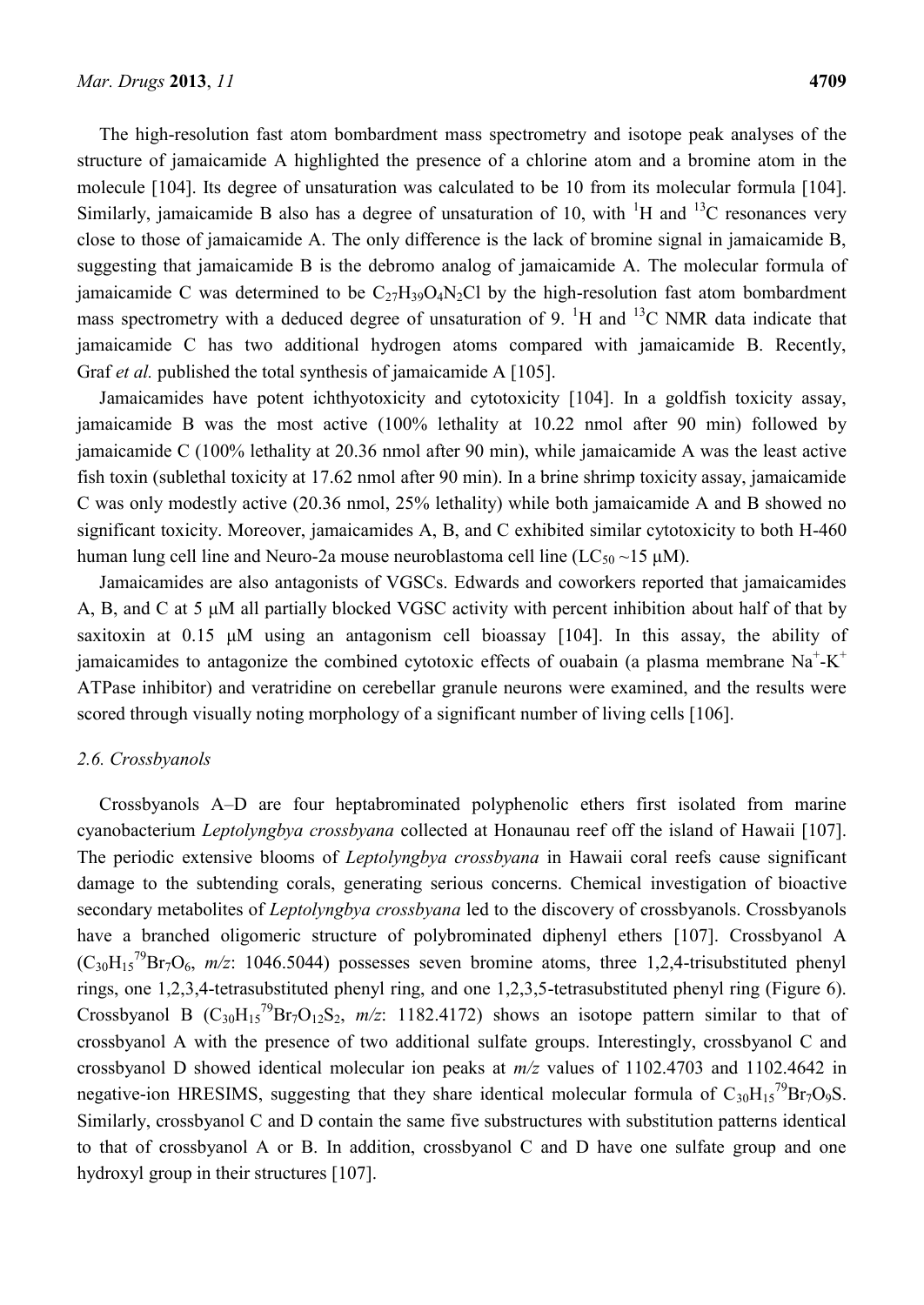The high-resolution fast atom bombardment mass spectrometry and isotope peak analyses of the structure of jamaicamide A highlighted the presence of a chlorine atom and a bromine atom in the molecule [104]. Its degree of unsaturation was calculated to be 10 from its molecular formula [104]. Similarly, jamaicamide B also has a degree of unsaturation of 10, with  $\rm{^1H}$  and  $\rm{^{13}C}$  resonances very close to those of jamaicamide A. The only difference is the lack of bromine signal in jamaicamide B, suggesting that jamaicamide B is the debromo analog of jamaicamide A. The molecular formula of jamaicamide C was determined to be  $C_{27}H_{39}O_4N_2Cl$  by the high-resolution fast atom bombardment mass spectrometry with a deduced degree of unsaturation of 9.  $\rm{^1H}$  and  $\rm{^{13}C}$  NMR data indicate that jamaicamide C has two additional hydrogen atoms compared with jamaicamide B. Recently, Graf *et al.* published the total synthesis of jamaicamide A [105].

Jamaicamides have potent ichthyotoxicity and cytotoxicity [104]. In a goldfish toxicity assay, jamaicamide B was the most active (100% lethality at 10.22 nmol after 90 min) followed by jamaicamide C (100% lethality at 20.36 nmol after 90 min), while jamaicamide A was the least active fish toxin (sublethal toxicity at 17.62 nmol after 90 min). In a brine shrimp toxicity assay, jamaicamide C was only modestly active (20.36 nmol, 25% lethality) while both jamaicamide A and B showed no significant toxicity. Moreover, jamaicamides A, B, and C exhibited similar cytotoxicity to both H-460 human lung cell line and Neuro-2a mouse neuroblastoma cell line ( $LC_{50} \sim 15 \mu M$ ).

Jamaicamides are also antagonists of VGSCs. Edwards and coworkers reported that jamaicamides A, B, and C at 5 μM all partially blocked VGSC activity with percent inhibition about half of that by saxitoxin at 0.15 μM using an antagonism cell bioassay [104]. In this assay, the ability of jamaicamides to antagonize the combined cytotoxic effects of ouabain (a plasma membrane  $Na^+$ -K<sup>+</sup> ATPase inhibitor) and veratridine on cerebellar granule neurons were examined, and the results were scored through visually noting morphology of a significant number of living cells [106].

#### *2.6. Crossbyanols*

Crossbyanols A–D are four heptabrominated polyphenolic ethers first isolated from marine cyanobacterium *Leptolyngbya crossbyana* collected at Honaunau reef off the island of Hawaii [107]. The periodic extensive blooms of *Leptolyngbya crossbyana* in Hawaii coral reefs cause significant damage to the subtending corals, generating serious concerns. Chemical investigation of bioactive secondary metabolites of *Leptolyngbya crossbyana* led to the discovery of crossbyanols. Crossbyanols have a branched oligomeric structure of polybrominated diphenyl ethers [107]. Crossbyanol A  $(C_{30}H_{15}^{79}Br_7O_6$ ,  $m/z$ : 1046.5044) possesses seven bromine atoms, three 1,2,4-trisubstituted phenyl rings, one 1,2,3,4-tetrasubstituted phenyl ring, and one 1,2,3,5-tetrasubstituted phenyl ring (Figure 6). Crossbyanol B  $(C_{30}H_{15}^{79}Br_7O_{12}S_2, m/z$ : 1182.4172) shows an isotope pattern similar to that of crossbyanol A with the presence of two additional sulfate groups. Interestingly, crossbyanol C and crossbyanol D showed identical molecular ion peaks at *m/z* values of 1102.4703 and 1102.4642 in negative-ion HRESIMS, suggesting that they share identical molecular formula of  $C_{30}H_{15}^{79}Br_7O_9S$ . Similarly, crossbyanol C and D contain the same five substructures with substitution patterns identical to that of crossbyanol A or B. In addition, crossbyanol C and D have one sulfate group and one hydroxyl group in their structures [107].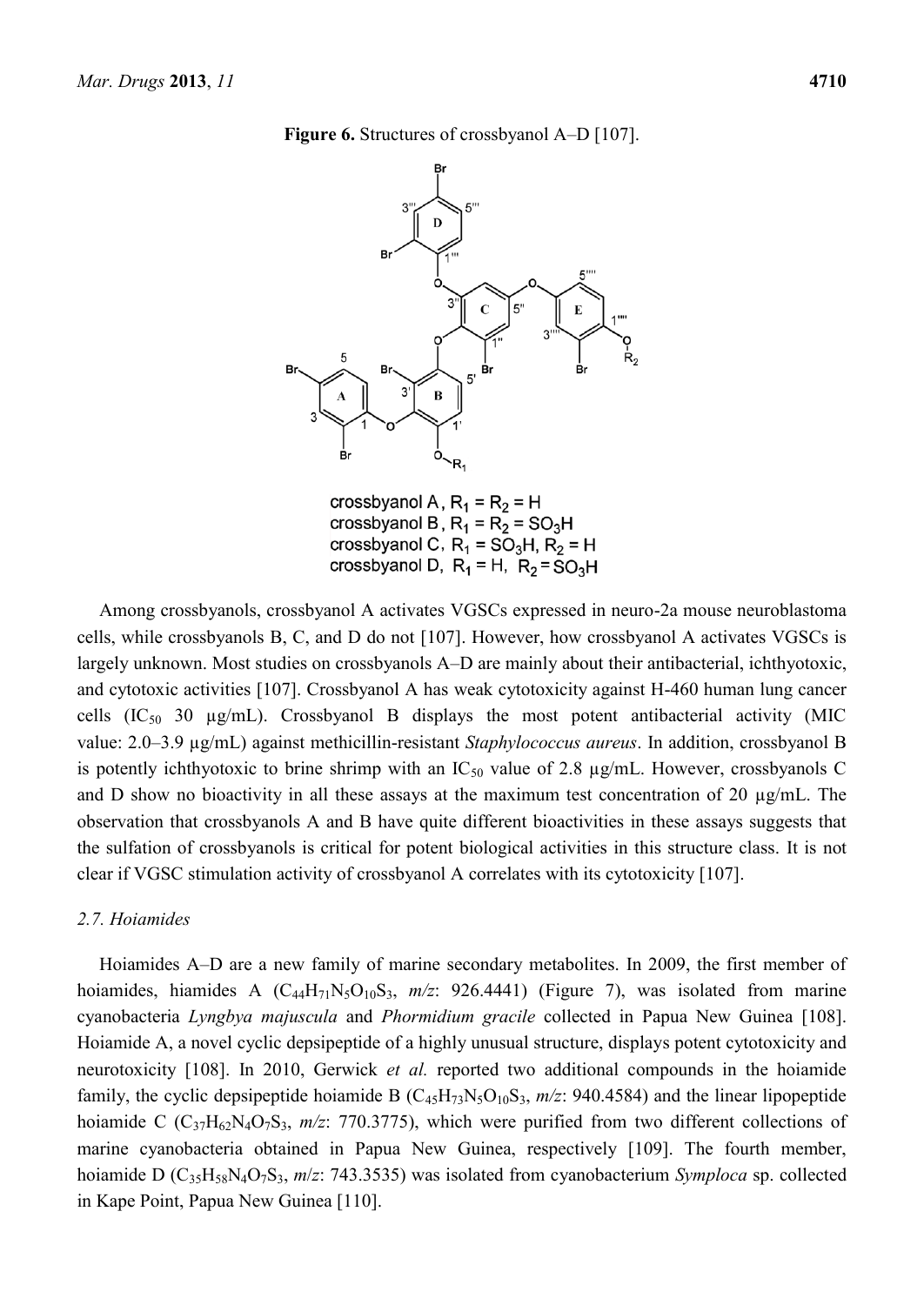**Figure 6.** Structures of crossbyanol A–D [107].



Among crossbyanols, crossbyanol A activates VGSCs expressed in neuro-2a mouse neuroblastoma cells, while crossbyanols B, C, and D do not [107]. However, how crossbyanol A activates VGSCs is largely unknown. Most studies on crossbyanols A–D are mainly about their antibacterial, ichthyotoxic, and cytotoxic activities [107]. Crossbyanol A has weak cytotoxicity against H-460 human lung cancer cells  $(IC_{50}$  30  $\mu$ g/mL). Crossbyanol B displays the most potent antibacterial activity (MIC value: 2.0–3.9 µg/mL) against methicillin-resistant *Staphylococcus aureus*. In addition, crossbyanol B is potently ichthyotoxic to brine shrimp with an  $IC_{50}$  value of 2.8  $\mu$ g/mL. However, crossbyanols C and D show no bioactivity in all these assays at the maximum test concentration of 20 µg/mL. The observation that crossbyanols A and B have quite different bioactivities in these assays suggests that the sulfation of crossbyanols is critical for potent biological activities in this structure class. It is not clear if VGSC stimulation activity of crossbyanol A correlates with its cytotoxicity [107].

#### *2.7. Hoiamides*

Hoiamides A–D are a new family of marine secondary metabolites. In 2009, the first member of hoiamides, hiamides A (C<sub>44</sub>H<sub>71</sub>N<sub>5</sub>O<sub>10</sub>S<sub>3</sub>, *m/z*: 926.4441) (Figure 7), was isolated from marine cyanobacteria *Lyngbya majuscula* and *Phormidium gracile* collected in Papua New Guinea [108]. Hoiamide A, a novel cyclic depsipeptide of a highly unusual structure, displays potent cytotoxicity and neurotoxicity [108]. In 2010, Gerwick *et al.* reported two additional compounds in the hoiamide family, the cyclic depsipeptide hoiamide B  $(C_{45}H_{73}N_5O_{10}S_3, m/z$ : 940.4584) and the linear lipopeptide hoiamide C (C<sub>37</sub>H<sub>62</sub>N<sub>4</sub>O<sub>7</sub>S<sub>3</sub>, *m/z*: 770.3775), which were purified from two different collections of marine cyanobacteria obtained in Papua New Guinea, respectively [109]. The fourth member, hoiamide D (C35H58N4O7S3, *m*/*z*: 743.3535) was isolated from cyanobacterium *Symploca* sp. collected in Kape Point, Papua New Guinea [110].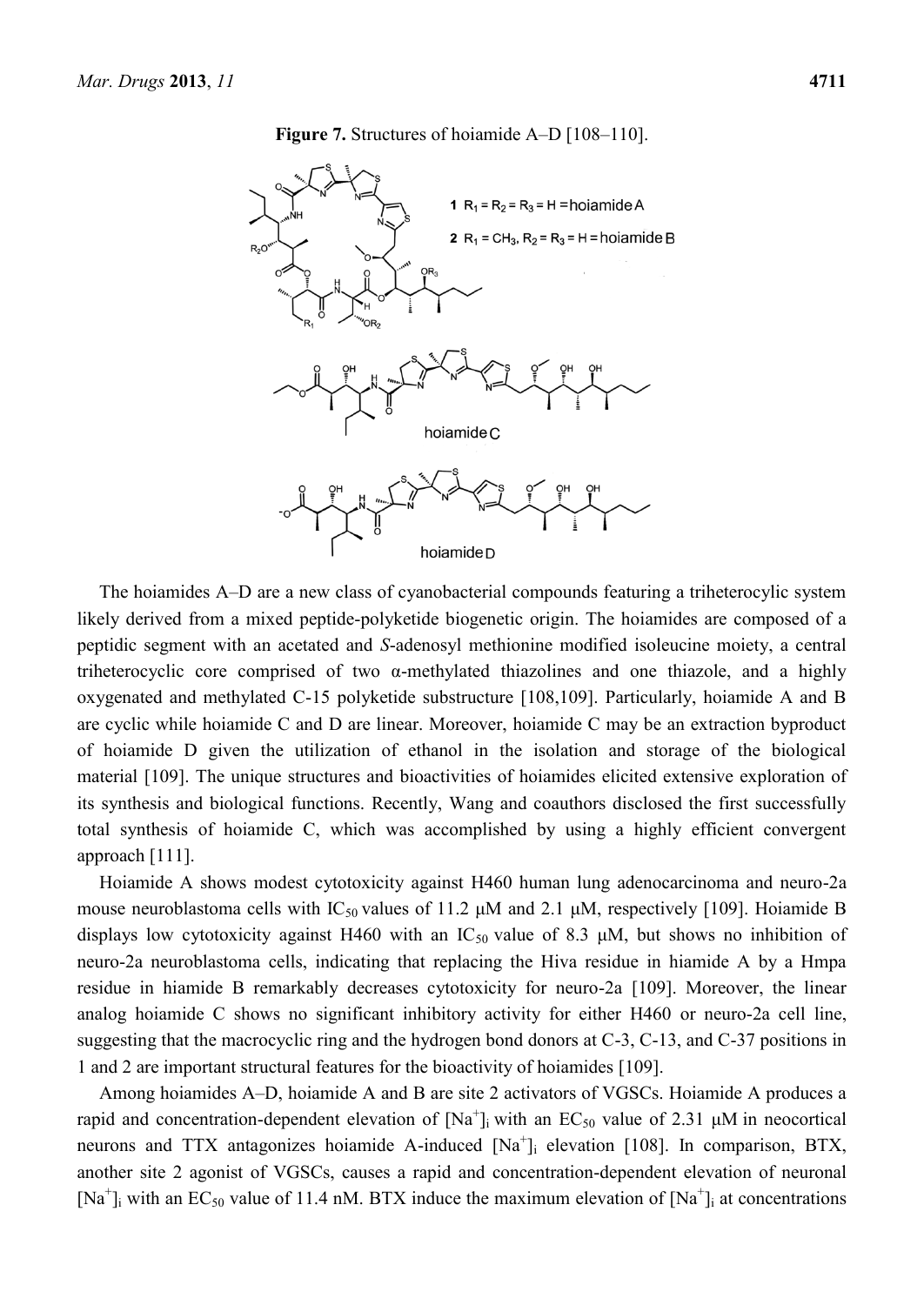**Figure 7.** Structures of hoiamide A–D [108–110].



The hoiamides A–D are a new class of cyanobacterial compounds featuring a triheterocylic system likely derived from a mixed peptide-polyketide biogenetic origin. The hoiamides are composed of a peptidic segment with an acetated and *S*-adenosyl methionine modified isoleucine moiety, a central triheterocyclic core comprised of two α-methylated thiazolines and one thiazole, and a highly oxygenated and methylated C-15 polyketide substructure [108,109]. Particularly, hoiamide A and B are cyclic while hoiamide C and D are linear. Moreover, hoiamide C may be an extraction byproduct of hoiamide D given the utilization of ethanol in the isolation and storage of the biological material [109]. The unique structures and bioactivities of hoiamides elicited extensive exploration of its synthesis and biological functions. Recently, Wang and coauthors disclosed the first successfully total synthesis of hoiamide C, which was accomplished by using a highly efficient convergent approach [111].

Hoiamide A shows modest cytotoxicity against H460 human lung adenocarcinoma and neuro-2a mouse neuroblastoma cells with  $IC_{50}$  values of 11.2  $\mu$ M and 2.1  $\mu$ M, respectively [109]. Hoiamide B displays low cytotoxicity against H460 with an  $IC_{50}$  value of 8.3  $\mu$ M, but shows no inhibition of neuro-2a neuroblastoma cells, indicating that replacing the Hiva residue in hiamide A by a Hmpa residue in hiamide B remarkably decreases cytotoxicity for neuro-2a [109]. Moreover, the linear analog hoiamide C shows no significant inhibitory activity for either H460 or neuro-2a cell line, suggesting that the macrocyclic ring and the hydrogen bond donors at C-3, C-13, and C-37 positions in 1 and 2 are important structural features for the bioactivity of hoiamides [109].

Among hoiamides A–D, hoiamide A and B are site 2 activators of VGSCs. Hoiamide A produces a rapid and concentration-dependent elevation of  $[Na^+]$ ; with an EC<sub>50</sub> value of 2.31  $\mu$ M in neocortical neurons and TTX antagonizes hoiamide A-induced [Na<sup>+</sup>]<sub>i</sub> elevation [108]. In comparison, BTX, another site 2 agonist of VGSCs, causes a rapid and concentration-dependent elevation of neuronal [Na<sup>+</sup>]<sub>i</sub> with an EC<sub>50</sub> value of 11.4 nM. BTX induce the maximum elevation of [Na<sup>+</sup>]<sub>i</sub> at concentrations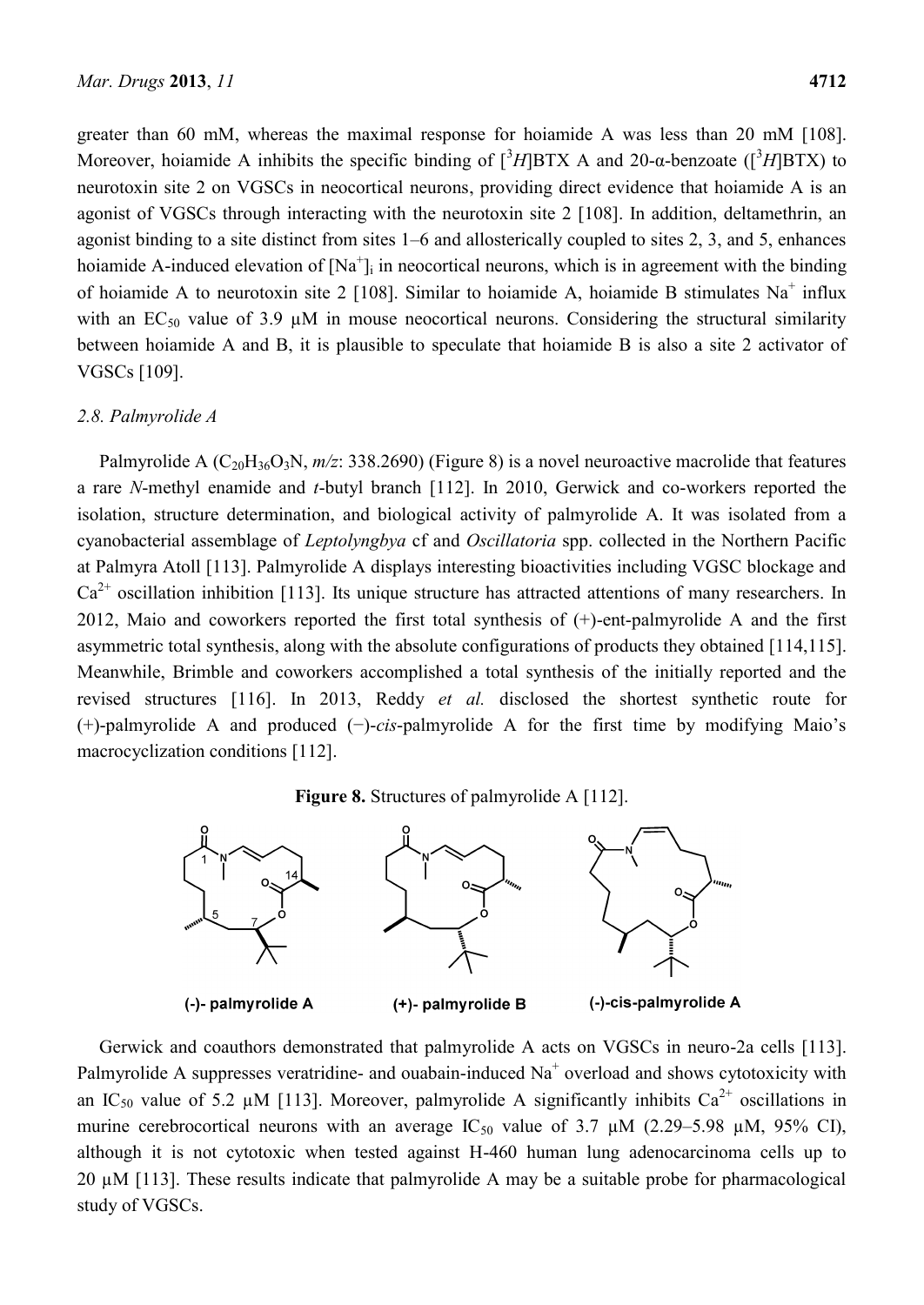greater than 60 mM, whereas the maximal response for hoiamide A was less than 20 mM [108]. Moreover, hoiamide A inhibits the specific binding of  $[{}^{3}H$ BTX A and 20-a-benzoate ( $[{}^{3}H$ BTX) to neurotoxin site 2 on VGSCs in neocortical neurons, providing direct evidence that hoiamide A is an agonist of VGSCs through interacting with the neurotoxin site 2 [108]. In addition, deltamethrin, an agonist binding to a site distinct from sites 1–6 and allosterically coupled to sites 2, 3, and 5, enhances hoiamide A-induced elevation of  $[Na^+]$ ; in neocortical neurons, which is in agreement with the binding of hoiamide A to neurotoxin site 2 [108]. Similar to hoiamide A, hoiamide B stimulates  $Na<sup>+</sup>$  influx with an  $EC_{50}$  value of 3.9  $\mu$ M in mouse neocortical neurons. Considering the structural similarity between hoiamide A and B, it is plausible to speculate that hoiamide B is also a site 2 activator of VGSCs [109].

#### *2.8. Palmyrolide A*

Palmyrolide A  $(C_{20}H_{36}O_3N, m/z: 338.2690)$  (Figure 8) is a novel neuroactive macrolide that features a rare *N*-methyl enamide and *t*-butyl branch [112]. In 2010, Gerwick and co-workers reported the isolation, structure determination, and biological activity of palmyrolide A. It was isolated from a cyanobacterial assemblage of *Leptolyngbya* cf and *Oscillatoria* spp. collected in the Northern Pacific at Palmyra Atoll [113]. Palmyrolide A displays interesting bioactivities including VGSC blockage and  $Ca<sup>2+</sup>$  oscillation inhibition [113]. Its unique structure has attracted attentions of many researchers. In 2012, Maio and coworkers reported the first total synthesis of (+)-ent-palmyrolide A and the first asymmetric total synthesis, along with the absolute configurations of products they obtained [114,115]. Meanwhile, Brimble and coworkers accomplished a total synthesis of the initially reported and the revised structures [116]. In 2013, Reddy *et al.* disclosed the shortest synthetic route for (+)-palmyrolide A and produced (−)-*cis*-palmyrolide A for the first time by modifying Maio's macrocyclization conditions [112].

#### **Figure 8.** Structures of palmyrolide A [112].



Gerwick and coauthors demonstrated that palmyrolide A acts on VGSCs in neuro-2a cells [113]. Palmyrolide A suppresses veratridine- and ouabain-induced  $Na<sup>+</sup>$  overload and shows cytotoxicity with an IC<sub>50</sub> value of 5.2 µM [113]. Moreover, palmyrolide A significantly inhibits Ca<sup>2+</sup> oscillations in murine cerebrocortical neurons with an average  $IC_{50}$  value of 3.7  $\mu$ M (2.29–5.98  $\mu$ M, 95% CI), although it is not cytotoxic when tested against H-460 human lung adenocarcinoma cells up to 20 µM [113]. These results indicate that palmyrolide A may be a suitable probe for pharmacological study of VGSCs.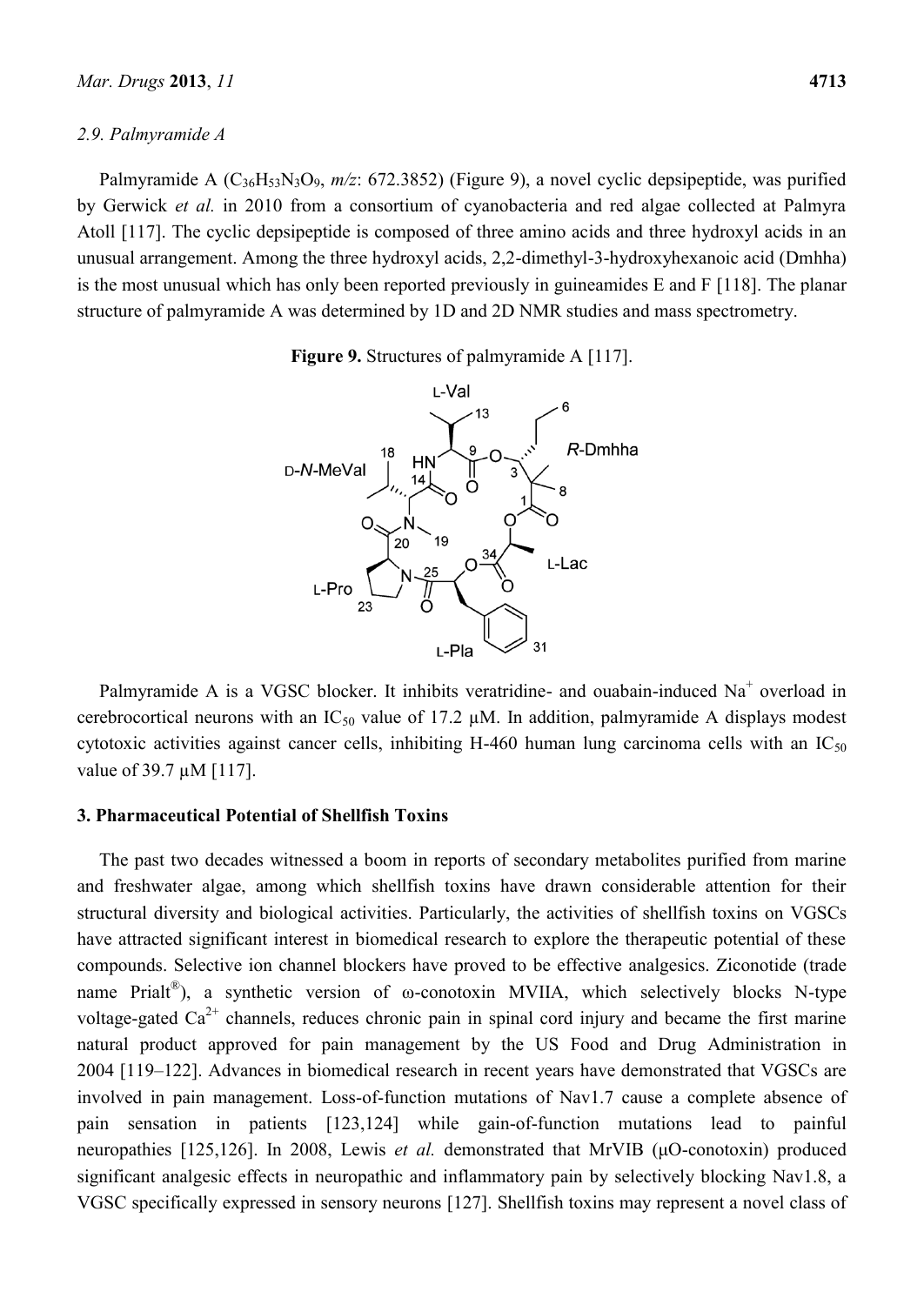#### *2.9. Palmyramide A*

Palmyramide A (C<sub>36</sub>H<sub>53</sub>N<sub>3</sub>O<sub>9</sub>, *m/z*: 672.3852) (Figure 9), a novel cyclic depsipeptide, was purified by Gerwick *et al.* in 2010 from a consortium of cyanobacteria and red algae collected at Palmyra Atoll [117]. The cyclic depsipeptide is composed of three amino acids and three hydroxyl acids in an unusual arrangement. Among the three hydroxyl acids, 2,2-dimethyl-3-hydroxyhexanoic acid (Dmhha) is the most unusual which has only been reported previously in guineamides E and F [118]. The planar structure of palmyramide A was determined by 1D and 2D NMR studies and mass spectrometry.





Palmyramide A is a VGSC blocker. It inhibits veratridine- and ouabain-induced  $Na<sup>+</sup>$  overload in cerebrocortical neurons with an IC<sub>50</sub> value of 17.2  $\mu$ M. In addition, palmyramide A displays modest cytotoxic activities against cancer cells, inhibiting H-460 human lung carcinoma cells with an  $IC_{50}$ value of 39.7  $\mu$ M [117].

#### **3. Pharmaceutical Potential of Shellfish Toxins**

The past two decades witnessed a boom in reports of secondary metabolites purified from marine and freshwater algae, among which shellfish toxins have drawn considerable attention for their structural diversity and biological activities. Particularly, the activities of shellfish toxins on VGSCs have attracted significant interest in biomedical research to explore the therapeutic potential of these compounds. Selective ion channel blockers have proved to be effective analgesics. Ziconotide (trade name Prialt<sup>®</sup>), a synthetic version of  $\omega$ -conotoxin MVIIA, which selectively blocks N-type voltage-gated  $Ca^{2+}$  channels, reduces chronic pain in spinal cord injury and became the first marine natural product approved for pain management by the US Food and Drug Administration in 2004 [119–122]. Advances in biomedical research in recent years have demonstrated that VGSCs are involved in pain management. Loss-of-function mutations of Nav1.7 cause a complete absence of pain sensation in patients [123,124] while gain-of-function mutations lead to painful neuropathies [125,126]. In 2008, Lewis *et al.* demonstrated that MrVIB (μO-conotoxin) produced significant analgesic effects in neuropathic and inflammatory pain by selectively blocking Nav1.8, a VGSC specifically expressed in sensory neurons [127]. Shellfish toxins may represent a novel class of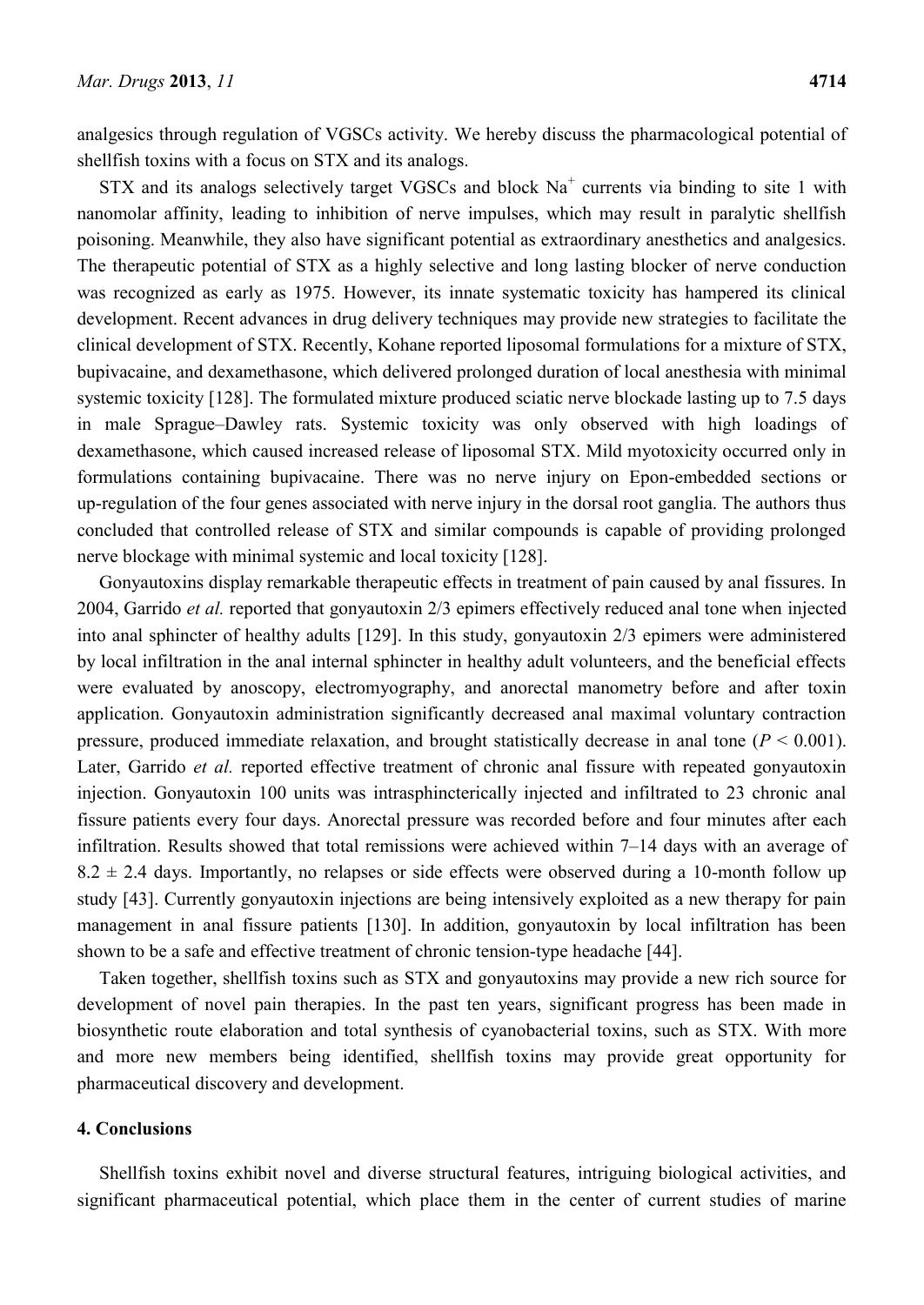analgesics through regulation of VGSCs activity. We hereby discuss the pharmacological potential of shellfish toxins with a focus on STX and its analogs.

 $STX$  and its analogs selectively target VGSCs and block  $Na<sup>+</sup>$  currents via binding to site 1 with nanomolar affinity, leading to inhibition of nerve impulses, which may result in paralytic shellfish poisoning. Meanwhile, they also have significant potential as extraordinary anesthetics and analgesics. The therapeutic potential of STX as a highly selective and long lasting blocker of nerve conduction was recognized as early as 1975. However, its innate systematic toxicity has hampered its clinical development. Recent advances in drug delivery techniques may provide new strategies to facilitate the clinical development of STX. Recently, Kohane reported liposomal formulations for a mixture of STX, bupivacaine, and dexamethasone, which delivered prolonged duration of local anesthesia with minimal systemic toxicity [128]. The formulated mixture produced sciatic nerve blockade lasting up to 7.5 days in male Sprague–Dawley rats. Systemic toxicity was only observed with high loadings of dexamethasone, which caused increased release of liposomal STX. Mild myotoxicity occurred only in formulations containing bupivacaine. There was no nerve injury on Epon-embedded sections or up-regulation of the four genes associated with nerve injury in the dorsal root ganglia. The authors thus concluded that controlled release of STX and similar compounds is capable of providing prolonged nerve blockage with minimal systemic and local toxicity [128].

Gonyautoxins display remarkable therapeutic effects in treatment of pain caused by anal fissures. In 2004, Garrido *et al.* reported that gonyautoxin 2/3 epimers effectively reduced anal tone when injected into anal sphincter of healthy adults [129]. In this study, gonyautoxin 2/3 epimers were administered by local infiltration in the anal internal sphincter in healthy adult volunteers, and the beneficial effects were evaluated by anoscopy, electromyography, and anorectal manometry before and after toxin application. Gonyautoxin administration significantly decreased anal maximal voluntary contraction pressure, produced immediate relaxation, and brought statistically decrease in anal tone  $(P < 0.001)$ . Later, Garrido *et al.* reported effective treatment of chronic anal fissure with repeated gonyautoxin injection. Gonyautoxin 100 units was intrasphincterically injected and infiltrated to 23 chronic anal fissure patients every four days. Anorectal pressure was recorded before and four minutes after each infiltration. Results showed that total remissions were achieved within 7–14 days with an average of  $8.2 \pm 2.4$  days. Importantly, no relapses or side effects were observed during a 10-month follow up study [43]. Currently gonyautoxin injections are being intensively exploited as a new therapy for pain management in anal fissure patients [130]. In addition, gonyautoxin by local infiltration has been shown to be a safe and effective treatment of chronic tension-type headache [44].

Taken together, shellfish toxins such as STX and gonyautoxins may provide a new rich source for development of novel pain therapies. In the past ten years, significant progress has been made in biosynthetic route elaboration and total synthesis of cyanobacterial toxins, such as STX. With more and more new members being identified, shellfish toxins may provide great opportunity for pharmaceutical discovery and development.

### **4. Conclusions**

Shellfish toxins exhibit novel and diverse structural features, intriguing biological activities, and significant pharmaceutical potential, which place them in the center of current studies of marine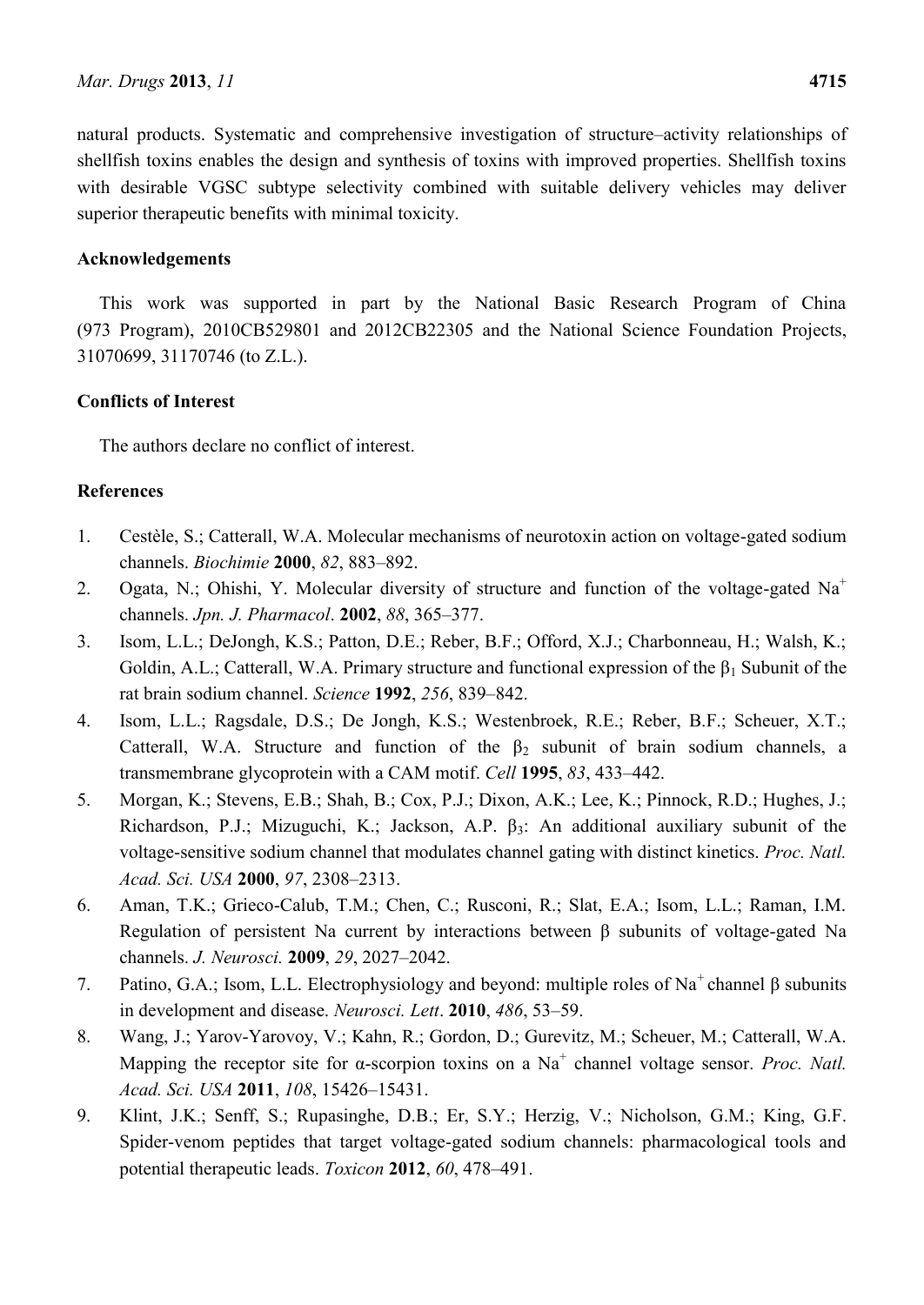natural products. Systematic and comprehensive investigation of structure–activity relationships of shellfish toxins enables the design and synthesis of toxins with improved properties. Shellfish toxins with desirable VGSC subtype selectivity combined with suitable delivery vehicles may deliver superior therapeutic benefits with minimal toxicity.

# **Acknowledgements**

This work was supported in part by the National Basic Research Program of China (973 Program), 2010CB529801 and 2012CB22305 and the National Science Foundation Projects, 31070699, 31170746 (to Z.L.).

# **Conflicts of Interest**

The authors declare no conflict of interest.

# **References**

- 1. Cestèle, S.; Catterall, W.A. Molecular mechanisms of neurotoxin action on voltage-gated sodium channels. *Biochimie* **2000**, *82*, 883–892.
- 2. Ogata, N.; Ohishi, Y. Molecular diversity of structure and function of the voltage-gated  $Na<sup>+</sup>$ channels. *Jpn. J. Pharmacol*. **2002**, *88*, 365–377.
- 3. Isom, L.L.; DeJongh, K.S.; Patton, D.E.; Reber, B.F.; Offord, X.J.; Charbonneau, H.; Walsh, K.; Goldin, A.L.; Catterall, W.A. Primary structure and functional expression of the  $\beta_1$  Subunit of the rat brain sodium channel. *Science* **1992**, *256*, 839–842.
- 4. Isom, L.L.; Ragsdale, D.S.; De Jongh, K.S.; Westenbroek, R.E.; Reber, B.F.; Scheuer, X.T.; Catterall, W.A. Structure and function of the  $\beta_2$  subunit of brain sodium channels, a transmembrane glycoprotein with a CAM motif. *Cell* **1995**, *83*, 433–442.
- 5. Morgan, K.; Stevens, E.B.; Shah, B.; Cox, P.J.; Dixon, A.K.; Lee, K.; Pinnock, R.D.; Hughes, J.; Richardson, P.J.; Mizuguchi, K.; Jackson, A.P.  $\beta_3$ : An additional auxiliary subunit of the voltage-sensitive sodium channel that modulates channel gating with distinct kinetics. *Proc. Natl. Acad. Sci. USA* **2000**, *97*, 2308–2313.
- 6. Aman, T.K.; Grieco-Calub, T.M.; Chen, C.; Rusconi, R.; Slat, E.A.; Isom, L.L.; Raman, I.M. Regulation of persistent Na current by interactions between β subunits of voltage-gated Na channels. *J. Neurosci.* **2009**, *29*, 2027–2042.
- 7. Patino, G.A.; Isom, L.L. Electrophysiology and beyond: multiple roles of Na<sup>+</sup>channel β subunits in development and disease. *Neurosci. Lett*. **2010**, *486*, 53–59.
- 8. Wang, J.; Yarov-Yarovoy, V.; Kahn, R.; Gordon, D.; Gurevitz, M.; Scheuer, M.; Catterall, W.A. Mapping the receptor site for  $\alpha$ -scorpion toxins on a Na<sup>+</sup> channel voltage sensor. *Proc. Natl. Acad. Sci. USA* **2011**, *108*, 15426–15431.
- 9. Klint, J.K.; Senff, S.; Rupasinghe, D.B.; Er, S.Y.; Herzig, V.; Nicholson, G.M.; King, G.F. Spider-venom peptides that target voltage-gated sodium channels: pharmacological tools and potential therapeutic leads. *Toxicon* **2012**, *60*, 478–491.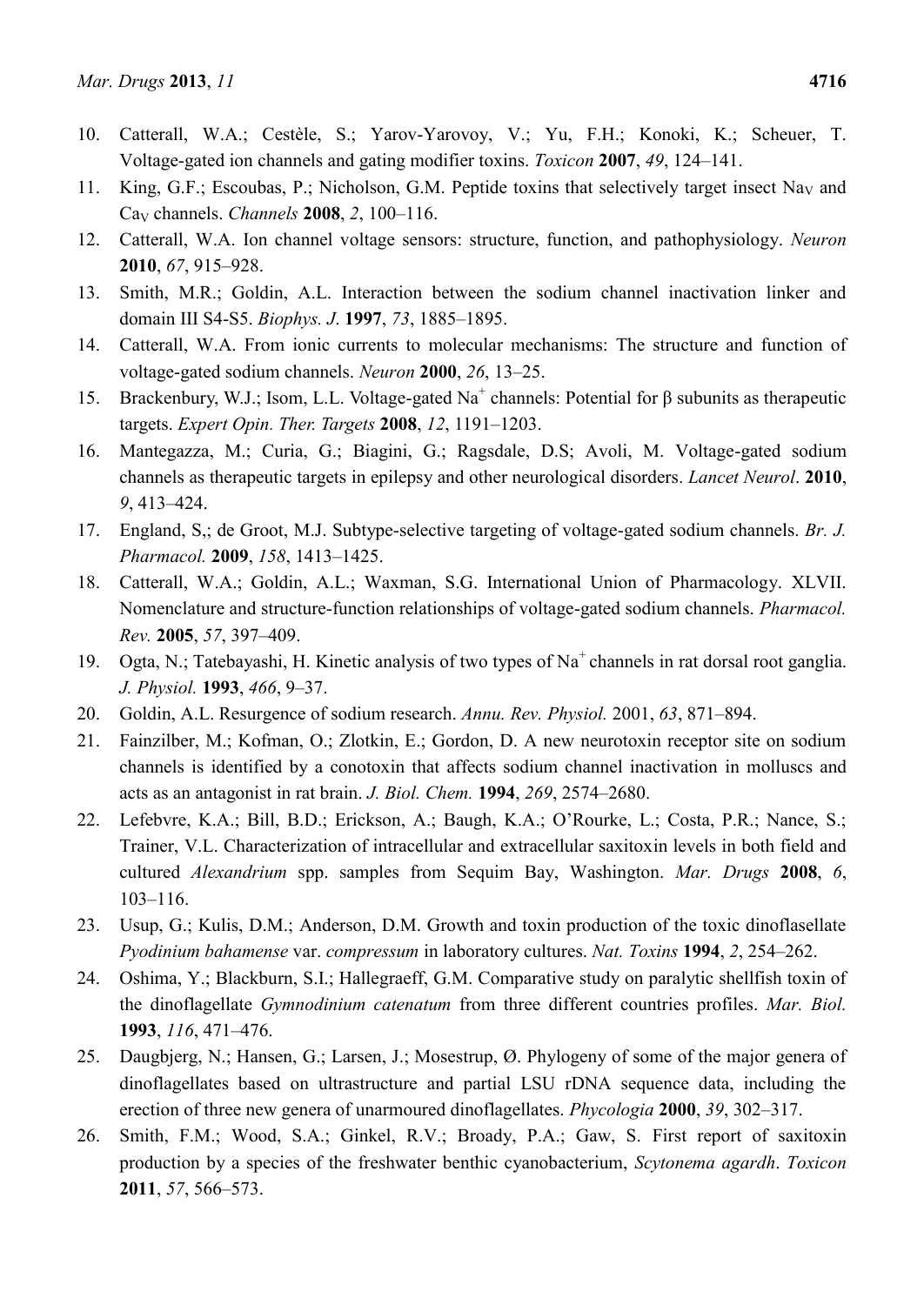- 10. Catterall, W.A.; Cestèle, S.; Yarov-Yarovoy, V.; Yu, F.H.; Konoki, K.; Scheuer, T. Voltage-gated ion channels and gating modifier toxins. *Toxicon* **2007**, *49*, 124–141.
- 11. King, G.F.; Escoubas, P.; Nicholson, G.M. Peptide toxins that selectively target insect Na<sub>V</sub> and Ca<sup>V</sup> channels. *Channels* **2008**, *2*, 100–116.
- 12. Catterall, W.A. Ion channel voltage sensors: structure, function, and pathophysiology. *Neuron* **2010**, *67*, 915–928.
- 13. Smith, M.R.; Goldin, A.L. Interaction between the sodium channel inactivation linker and domain III S4-S5. *Biophys. J*. **1997**, *73*, 1885–1895.
- 14. Catterall, W.A. From ionic currents to molecular mechanisms: The structure and function of voltage-gated sodium channels. *Neuron* **2000**, *26*, 13–25.
- 15. Brackenbury, W.J.; Isom, L.L. Voltage-gated Na<sup>+</sup> channels: Potential for β subunits as therapeutic targets. *Expert Opin. Ther. Targets* **2008**, *12*, 1191–1203.
- 16. Mantegazza, M.; Curia, G.; Biagini, G.; Ragsdale, D.S; Avoli, M. Voltage-gated sodium channels as therapeutic targets in epilepsy and other neurological disorders. *Lancet Neurol*. **2010**, *9*, 413–424.
- 17. England, S,; de Groot, M.J. Subtype-selective targeting of voltage-gated sodium channels. *Br. J. Pharmacol.* **2009**, *158*, 1413–1425.
- 18. Catterall, W.A.; Goldin, A.L.; Waxman, S.G. International Union of Pharmacology. XLVII. Nomenclature and structure-function relationships of voltage-gated sodium channels. *Pharmacol. Rev.* **2005**, *57*, 397–409.
- 19. Ogta, N.; Tatebayashi, H. Kinetic analysis of two types of Na<sup>+</sup>channels in rat dorsal root ganglia. *J. Physiol.* **1993**, *466*, 9–37.
- 20. Goldin, A.L. Resurgence of sodium research. *Annu. Rev. Physiol.* 2001, *63*, 871–894.
- 21. Fainzilber, M.; Kofman, O.; Zlotkin, E.; Gordon, D. A new neurotoxin receptor site on sodium channels is identified by a conotoxin that affects sodium channel inactivation in molluscs and acts as an antagonist in rat brain. *J. Biol. Chem.* **1994**, *269*, 2574–2680.
- 22. Lefebvre, K.A.; Bill, B.D.; Erickson, A.; Baugh, K.A.; O'Rourke, L.; Costa, P.R.; Nance, S.; Trainer, V.L. Characterization of intracellular and extracellular saxitoxin levels in both field and cultured *Alexandrium* spp. samples from Sequim Bay, Washington. *Mar. Drugs* **2008**, *6*, 103–116.
- 23. Usup, G.; Kulis, D.M.; Anderson, D.M. Growth and toxin production of the toxic dinoflasellate *Pyodinium bahamense* var. *compressum* in laboratory cultures. *Nat. Toxins* **1994**, *2*, 254–262.
- 24. Oshima, Y.; Blackburn, S.I.; Hallegraeff, G.M. Comparative study on paralytic shellfish toxin of the dinoflagellate *Gymnodinium catenatum* from three different countries profiles. *Mar. Biol.*  **1993**, *116*, 471–476.
- 25. Daugbjerg, N.; Hansen, G.; Larsen, J.; Mosestrup, Ø. Phylogeny of some of the major genera of dinoflagellates based on ultrastructure and partial LSU rDNA sequence data, including the erection of three new genera of unarmoured dinoflagellates. *Phycologia* **2000**, *39*, 302–317.
- 26. Smith, F.M.; Wood, S.A.; Ginkel, R.V.; Broady, P.A.; Gaw, S. First report of saxitoxin production by a species of the freshwater benthic cyanobacterium, *Scytonema agardh*. *Toxicon* **2011**, *57*, 566–573.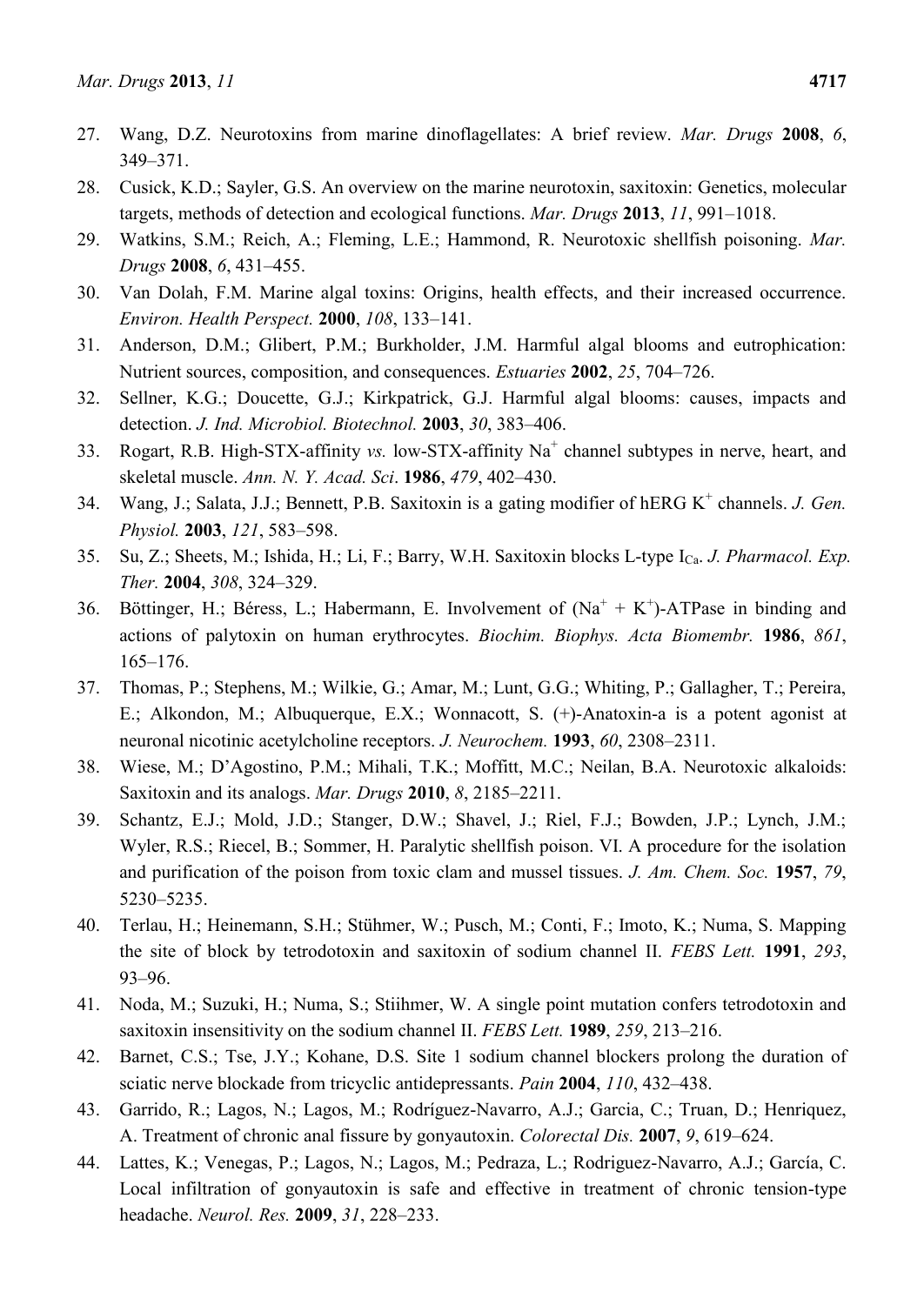- 27. Wang, D.Z. Neurotoxins from marine dinoflagellates: A brief review. *Mar. Drugs* **2008**, *6*, 349–371.
- 28. Cusick, K.D.; Sayler, G.S. An overview on the marine neurotoxin, saxitoxin: Genetics, molecular targets, methods of detection and ecological functions. *Mar. Drugs* **2013**, *11*, 991–1018.
- 29. Watkins, S.M.; Reich, A.; Fleming, L.E.; Hammond, R. Neurotoxic shellfish poisoning. *Mar. Drugs* **2008**, *6*, 431–455.
- 30. Van Dolah, F.M. Marine algal toxins: Origins, health effects, and their increased occurrence. *Environ. Health Perspect.* **2000**, *108*, 133–141.
- 31. Anderson, D.M.; Glibert, P.M.; Burkholder, J.M. Harmful algal blooms and eutrophication: Nutrient sources, composition, and consequences. *Estuaries* **2002**, *25*, 704–726.
- 32. Sellner, K.G.; Doucette, G.J.; Kirkpatrick, G.J. Harmful algal blooms: causes, impacts and detection. *J. Ind. Microbiol. Biotechnol.* **2003**, *30*, 383–406.
- 33. Rogart, R.B. High-STX-affinity *vs.* low-STX-affinity Na<sup>+</sup> channel subtypes in nerve, heart, and skeletal muscle. *Ann. N. Y. Acad. Sci*. **1986**, *479*, 402–430.
- 34. Wang, J.; Salata, J.J.; Bennett, P.B. Saxitoxin is a gating modifier of hERG K<sup>+</sup> channels. *J. Gen. Physiol.* **2003**, *121*, 583–598.
- 35. Su, Z.; Sheets, M.; Ishida, H.; Li, F.; Barry, W.H. Saxitoxin blocks L-type ICa. *J. Pharmacol. Exp. Ther.* **2004**, *308*, 324–329.
- 36. Böttinger, H.; Béress, L.; Habermann, E. Involvement of  $(Na^{+} + K^{+})$ -ATPase in binding and actions of palytoxin on human erythrocytes. *Biochim. Biophys. Acta Biomembr.* **1986**, *861*, 165–176.
- 37. Thomas, P.; Stephens, M.; Wilkie, G.; Amar, M.; Lunt, G.G.; Whiting, P.; Gallagher, T.; Pereira, E.; Alkondon, M.; Albuquerque, E.X.; Wonnacott, S. (+)-Anatoxin-a is a potent agonist at neuronal nicotinic acetylcholine receptors. *J. Neurochem.* **1993**, *60*, 2308–2311.
- 38. Wiese, M.; D'Agostino, P.M.; Mihali, T.K.; Moffitt, M.C.; Neilan, B.A. Neurotoxic alkaloids: Saxitoxin and its analogs. *Mar. Drugs* **2010**, *8*, 2185–2211.
- 39. Schantz, E.J.; Mold, J.D.; Stanger, D.W.; Shavel, J.; Riel, F.J.; Bowden, J.P.; Lynch, J.M.; Wyler, R.S.; Riecel, B.; Sommer, H. Paralytic shellfish poison. VI. A procedure for the isolation and purification of the poison from toxic clam and mussel tissues. *J. Am. Chem. Soc.* **1957**, *79*, 5230–5235.
- 40. Terlau, H.; Heinemann, S.H.; Stühmer, W.; Pusch, M.; Conti, F.; Imoto, K.; Numa, S. Mapping the site of block by tetrodotoxin and saxitoxin of sodium channel II. *FEBS Lett.* **1991**, *293*, 93–96.
- 41. Noda, M.; Suzuki, H.; Numa, S.; Stiihmer, W. A single point mutation confers tetrodotoxin and saxitoxin insensitivity on the sodium channel II. *FEBS Lett.* **1989**, *259*, 213–216.
- 42. Barnet, C.S.; Tse, J.Y.; Kohane, D.S. Site 1 sodium channel blockers prolong the duration of sciatic nerve blockade from tricyclic antidepressants. *Pain* **2004**, *110*, 432–438.
- 43. Garrido, R.; Lagos, N.; Lagos, M.; Rodríguez-Navarro, A.J.; Garcia, C.; Truan, D.; Henriquez, A. Treatment of chronic anal fissure by gonyautoxin. *Colorectal Dis.* **2007**, *9*, 619–624.
- 44. Lattes, K.; Venegas, P.; Lagos, N.; Lagos, M.; Pedraza, L.; Rodriguez-Navarro, A.J.; García, C. Local infiltration of gonyautoxin is safe and effective in treatment of chronic tension-type headache. *Neurol. Res.* **2009**, *31*, 228–233.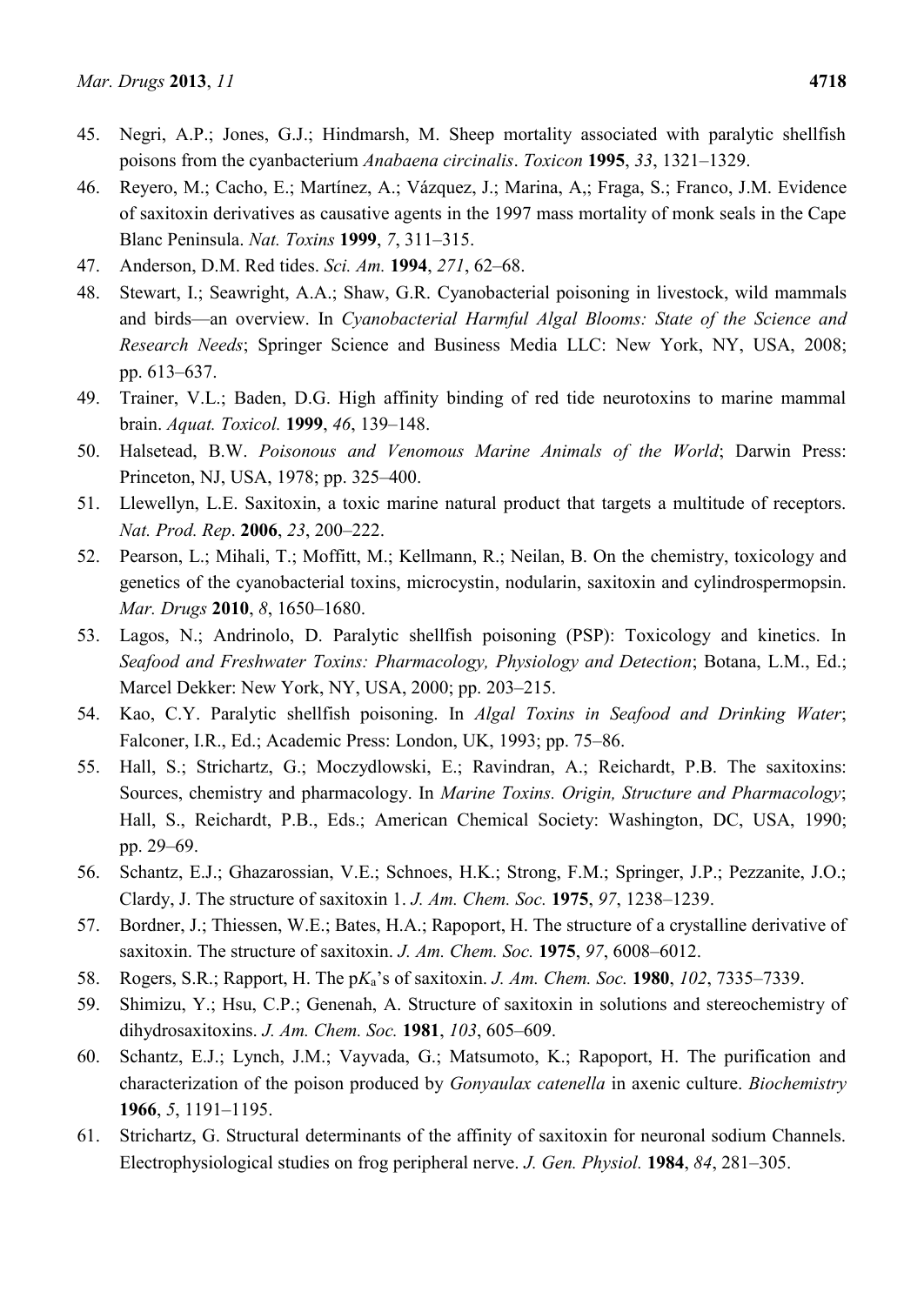- 45. Negri, A.P.; Jones, G.J.; Hindmarsh, M. Sheep mortality associated with paralytic shellfish poisons from the cyanbacterium *Anabaena circinalis*. *Toxicon* **1995**, *33*, 1321–1329.
- 46. Reyero, M.; Cacho, E.; Martínez, A.; Vázquez, J.; Marina, A,; Fraga, S.; Franco, J.M. Evidence of saxitoxin derivatives as causative agents in the 1997 mass mortality of monk seals in the Cape Blanc Peninsula. *Nat. Toxins* **1999**, *7*, 311–315.
- 47. Anderson, D.M. Red tides. *Sci. Am.* **1994**, *271*, 62–68.
- 48. Stewart, I.; Seawright, A.A.; Shaw, G.R. Cyanobacterial poisoning in livestock, wild mammals and birds—an overview. In *Cyanobacterial Harmful Algal Blooms: State of the Science and Research Needs*; Springer Science and Business Media LLC: New York, NY, USA, 2008; pp. 613–637.
- 49. Trainer, V.L.; Baden, D.G. High affinity binding of red tide neurotoxins to marine mammal brain. *Aquat. Toxicol.* **1999**, *46*, 139–148.
- 50. Halsetead, B.W. *Poisonous and Venomous Marine Animals of the World*; Darwin Press: Princeton, NJ, USA, 1978; pp. 325–400.
- 51. Llewellyn, L.E. Saxitoxin, a toxic marine natural product that targets a multitude of receptors. *Nat. Prod. Rep*. **2006**, *23*, 200–222.
- 52. Pearson, L.; Mihali, T.; Moffitt, M.; Kellmann, R.; Neilan, B. On the chemistry, toxicology and genetics of the cyanobacterial toxins, microcystin, nodularin, saxitoxin and cylindrospermopsin. *Mar. Drugs* **2010**, *8*, 1650–1680.
- 53. Lagos, N.; Andrinolo, D. Paralytic shellfish poisoning (PSP): Toxicology and kinetics. In *Seafood and Freshwater Toxins: Pharmacology, Physiology and Detection*; Botana, L.M., Ed.; Marcel Dekker: New York, NY, USA, 2000; pp. 203–215.
- 54. Kao, C.Y. Paralytic shellfish poisoning. In *Algal Toxins in Seafood and Drinking Water*; Falconer, I.R., Ed.; Academic Press: London, UK, 1993; pp. 75–86.
- 55. Hall, S.; Strichartz, G.; Moczydlowski, E.; Ravindran, A.; Reichardt, P.B. The saxitoxins: Sources, chemistry and pharmacology. In *Marine Toxins. Origin, Structure and Pharmacology*; Hall, S., Reichardt, P.B., Eds.; American Chemical Society: Washington, DC, USA, 1990; pp. 29–69.
- 56. Schantz, E.J.; Ghazarossian, V.E.; Schnoes, H.K.; Strong, F.M.; Springer, J.P.; Pezzanite, J.O.; Clardy, J. The structure of saxitoxin 1. *J. Am. Chem. Soc.* **1975**, *97*, 1238–1239.
- 57. Bordner, J.; Thiessen, W.E.; Bates, H.A.; Rapoport, H. The structure of a crystalline derivative of saxitoxin. The structure of saxitoxin. *J. Am. Chem. Soc.* **1975**, *97*, 6008–6012.
- 58. Rogers, S.R.; Rapport, H. The p*K*a's of saxitoxin. *J. Am. Chem. Soc.* **1980**, *102*, 7335–7339.
- 59. Shimizu, Y.; Hsu, C.P.; Genenah, A. Structure of saxitoxin in solutions and stereochemistry of dihydrosaxitoxins. *J. Am. Chem. Soc.* **1981**, *103*, 605–609.
- 60. Schantz, E.J.; Lynch, J.M.; Vayvada, G.; Matsumoto, K.; Rapoport, H. The purification and characterization of the poison produced by *Gonyaulax catenella* in axenic culture. *Biochemistry* **1966**, *5*, 1191–1195.
- 61. Strichartz, G. Structural determinants of the affinity of saxitoxin for neuronal sodium Channels. Electrophysiological studies on frog peripheral nerve. *J. Gen. Physiol.* **1984**, *84*, 281–305.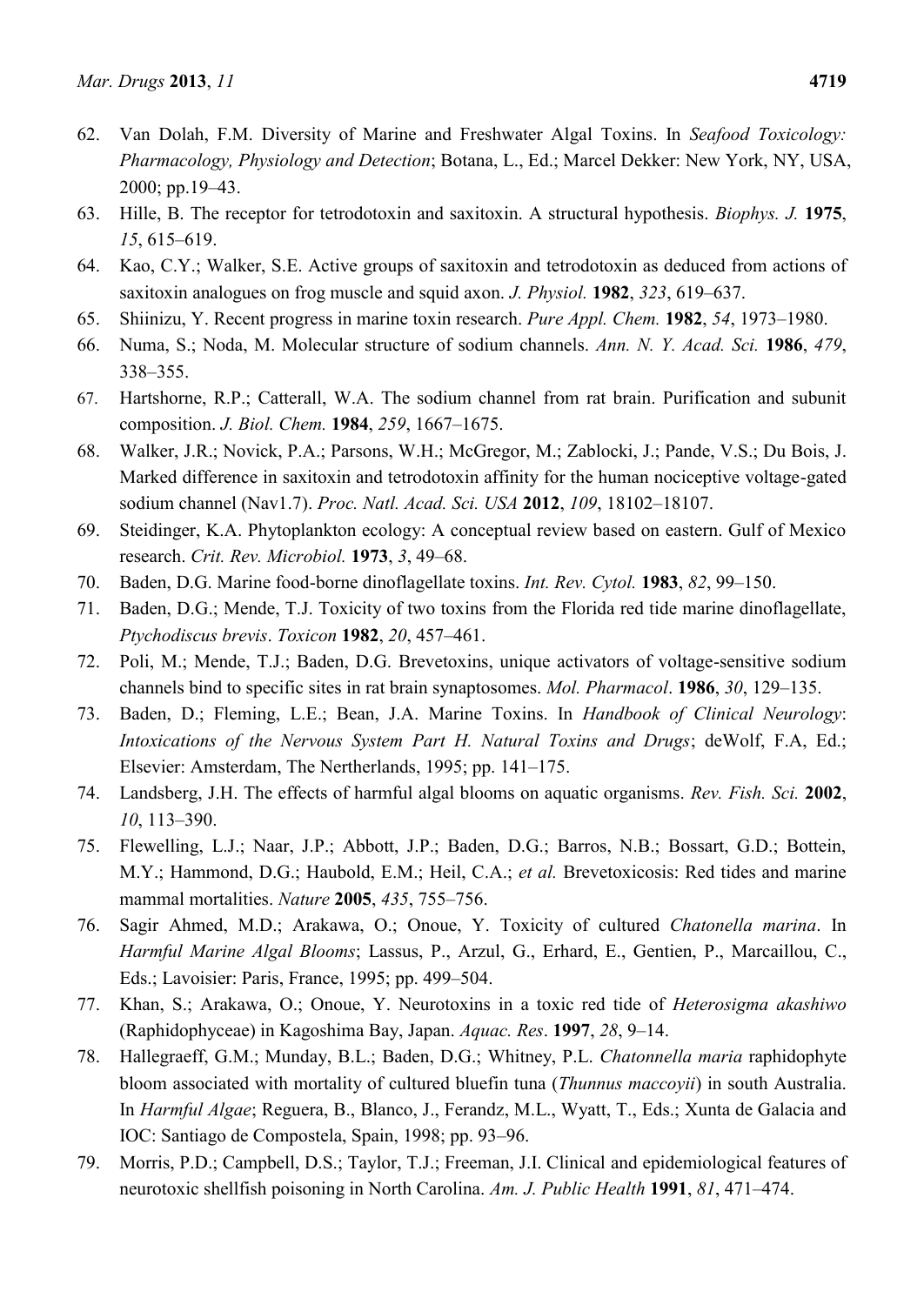- 62. Van Dolah, F.M. Diversity of Marine and Freshwater Algal Toxins. In *Seafood Toxicology: Pharmacology, Physiology and Detection*; Botana, L., Ed.; Marcel Dekker: New York, NY, USA, 2000; pp.19–43.
- 63. Hille, B. The receptor for tetrodotoxin and saxitoxin. A structural hypothesis. *Biophys. J.* **1975**, *15*, 615–619.
- 64. Kao, C.Y.; Walker, S.E. Active groups of saxitoxin and tetrodotoxin as deduced from actions of saxitoxin analogues on frog muscle and squid axon. *J. Physiol.* **1982**, *323*, 619–637.
- 65. Shiinizu, Y. Recent progress in marine toxin research. *Pure Appl. Chem.* **1982**, *54*, 1973–1980.
- 66. Numa, S.; Noda, M. Molecular structure of sodium channels. *Ann. N. Y. Acad. Sci.* **1986**, *479*, 338–355.
- 67. Hartshorne, R.P.; Catterall, W.A. The sodium channel from rat brain. Purification and subunit composition. *J. Biol. Chem.* **1984**, *259*, 1667–1675.
- 68. Walker, J.R.; Novick, P.A.; Parsons, W.H.; McGregor, M.; Zablocki, J.; Pande, V.S.; Du Bois, J. Marked difference in saxitoxin and tetrodotoxin affinity for the human nociceptive voltage-gated sodium channel (Nav1.7). *Proc. Natl. Acad. Sci. USA* **2012**, *109*, 18102–18107.
- 69. Steidinger, K.A. Phytoplankton ecology: A conceptual review based on eastern. Gulf of Mexico research. *Crit. Rev. Microbiol.* **1973**, *3*, 49–68.
- 70. Baden, D.G. Marine food-borne dinoflagellate toxins. *Int. Rev. Cytol.* **1983**, *82*, 99–150.
- 71. Baden, D.G.; Mende, T.J. Toxicity of two toxins from the Florida red tide marine dinoflagellate, *Ptychodiscus brevis*. *Toxicon* **1982**, *20*, 457–461.
- 72. Poli, M.; Mende, T.J.; Baden, D.G. Brevetoxins, unique activators of voltage-sensitive sodium channels bind to specific sites in rat brain synaptosomes. *Mol. Pharmacol*. **1986**, *30*, 129–135.
- 73. Baden, D.; Fleming, L.E.; Bean, J.A. Marine Toxins. In *Handbook of Clinical Neurology*: *Intoxications of the Nervous System Part H. Natural Toxins and Drugs*; deWolf, F.A, Ed.; Elsevier: Amsterdam, The Nertherlands, 1995; pp. 141–175.
- 74. Landsberg, J.H. The effects of harmful algal blooms on aquatic organisms. *Rev. Fish. Sci.* **2002**, *10*, 113–390.
- 75. Flewelling, L.J.; Naar, J.P.; Abbott, J.P.; Baden, D.G.; Barros, N.B.; Bossart, G.D.; Bottein, M.Y.; Hammond, D.G.; Haubold, E.M.; Heil, C.A.; *et al.* Brevetoxicosis: Red tides and marine mammal mortalities. *Nature* **2005**, *435*, 755–756.
- 76. Sagir Ahmed, M.D.; Arakawa, O.; Onoue, Y. Toxicity of cultured *Chatonella marina*. In *Harmful Marine Algal Blooms*; Lassus, P., Arzul, G., Erhard, E., Gentien, P., Marcaillou, C., Eds.; Lavoisier: Paris, France, 1995; pp. 499–504.
- 77. Khan, S.; Arakawa, O.; Onoue, Y. Neurotoxins in a toxic red tide of *Heterosigma akashiwo* (Raphidophyceae) in Kagoshima Bay, Japan. *Aquac. Res*. **1997**, *28*, 9–14.
- 78. Hallegraeff, G.M.; Munday, B.L.; Baden, D.G.; Whitney, P.L. *Chatonnella maria* raphidophyte bloom associated with mortality of cultured bluefin tuna (*Thunnus maccoyii*) in south Australia. In *Harmful Algae*; Reguera, B., Blanco, J., Ferandz, M.L., Wyatt, T., Eds.; Xunta de Galacia and IOC: Santiago de Compostela, Spain, 1998; pp. 93–96.
- 79. Morris, P.D.; Campbell, D.S.; Taylor, T.J.; Freeman, J.I. Clinical and epidemiological features of neurotoxic shellfish poisoning in North Carolina. *Am. J. Public Health* **1991**, *81*, 471–474.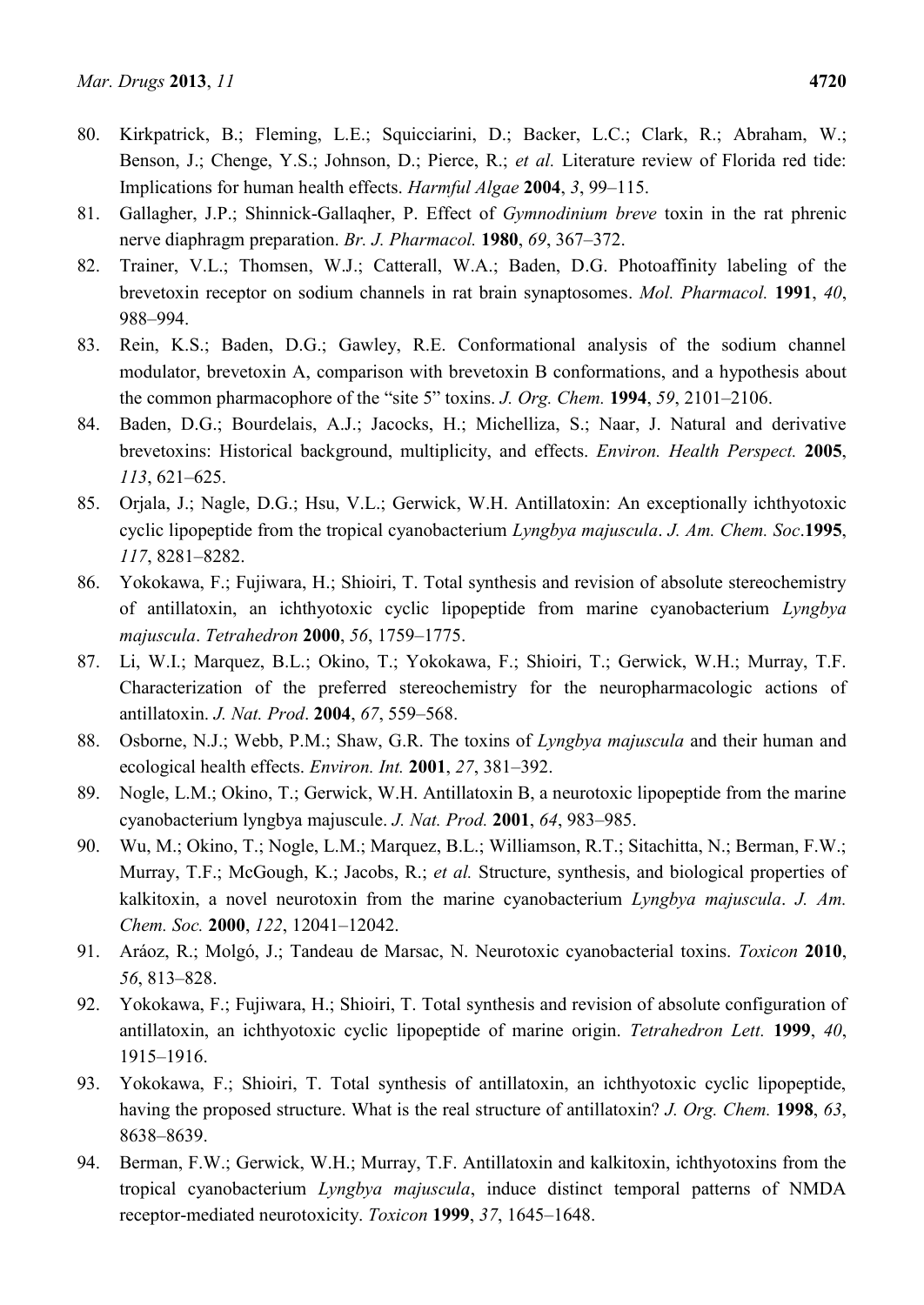- 80. Kirkpatrick, B.; Fleming, L.E.; Squicciarini, D.; Backer, L.C.; Clark, R.; Abraham, W.; Benson, J.; Chenge, Y.S.; Johnson, D.; Pierce, R.; *et al.* Literature review of Florida red tide: Implications for human health effects. *Harmful Algae* **2004**, *3*, 99–115.
- 81. Gallagher, J.P.; Shinnick-Gallaqher, P. Effect of *Gymnodinium breve* toxin in the rat phrenic nerve diaphragm preparation. *Br. J. Pharmacol.* **1980**, *69*, 367–372.
- 82. Trainer, V.L.; Thomsen, W.J.; Catterall, W.A.; Baden, D.G. Photoaffinity labeling of the brevetoxin receptor on sodium channels in rat brain synaptosomes. *Mol. Pharmacol.* **1991**, *40*, 988–994.
- 83. Rein, K.S.; Baden, D.G.; Gawley, R.E. Conformational analysis of the sodium channel modulator, brevetoxin A, comparison with brevetoxin B conformations, and a hypothesis about the common pharmacophore of the "site 5" toxins. *J. Org. Chem.* **1994**, *59*, 2101–2106.
- 84. Baden, D.G.; Bourdelais, A.J.; Jacocks, H.; Michelliza, S.; Naar, J. Natural and derivative brevetoxins: Historical background, multiplicity, and effects. *Environ. Health Perspect.* **2005**, *113*, 621–625.
- 85. Orjala, J.; Nagle, D.G.; Hsu, V.L.; Gerwick, W.H. Antillatoxin: An exceptionally ichthyotoxic cyclic lipopeptide from the tropical cyanobacterium *Lyngbya majuscula*. *J. Am. Chem. Soc*.**1995**, *117*, 8281–8282.
- 86. Yokokawa, F.; Fujiwara, H.; Shioiri, T. Total synthesis and revision of absolute stereochemistry of antillatoxin, an ichthyotoxic cyclic lipopeptide from marine cyanobacterium *Lyngbya majuscula*. *Tetrahedron* **2000**, *56*, 1759–1775.
- 87. Li, W.I.; Marquez, B.L.; Okino, T.; Yokokawa, F.; Shioiri, T.; Gerwick, W.H.; Murray, T.F. Characterization of the preferred stereochemistry for the neuropharmacologic actions of antillatoxin. *J. Nat. Prod*. **2004**, *67*, 559–568.
- 88. Osborne, N.J.; Webb, P.M.; Shaw, G.R. The toxins of *Lyngbya majuscula* and their human and ecological health effects. *Environ. Int.* **2001**, *27*, 381–392.
- 89. Nogle, L.M.; Okino, T.; Gerwick, W.H. Antillatoxin B, a neurotoxic lipopeptide from the marine cyanobacterium lyngbya majuscule. *J. Nat. Prod.* **2001**, *64*, 983–985.
- 90. Wu, M.; Okino, T.; Nogle, L.M.; Marquez, B.L.; Williamson, R.T.; Sitachitta, N.; Berman, F.W.; Murray, T.F.; McGough, K.; Jacobs, R.; *et al.* Structure, synthesis, and biological properties of kalkitoxin, a novel neurotoxin from the marine cyanobacterium *Lyngbya majuscula*. *J. Am. Chem. Soc.* **2000**, *122*, 12041–12042.
- 91. Aráoz, R.; Molgó, J.; Tandeau de Marsac, N. Neurotoxic cyanobacterial toxins. *Toxicon* **2010**, *56*, 813–828.
- 92. Yokokawa, F.; Fujiwara, H.; Shioiri, T. Total synthesis and revision of absolute configuration of antillatoxin, an ichthyotoxic cyclic lipopeptide of marine origin. *Tetrahedron Lett.* **1999**, *40*, 1915–1916.
- 93. Yokokawa, F.; Shioiri, T. Total synthesis of antillatoxin, an ichthyotoxic cyclic lipopeptide, having the proposed structure. What is the real structure of antillatoxin? *J. Org. Chem.* **1998**, *63*, 8638–8639.
- 94. Berman, F.W.; Gerwick, W.H.; Murray, T.F. Antillatoxin and kalkitoxin, ichthyotoxins from the tropical cyanobacterium *Lyngbya majuscula*, induce distinct temporal patterns of NMDA receptor-mediated neurotoxicity. *Toxicon* **1999**, *37*, 1645–1648.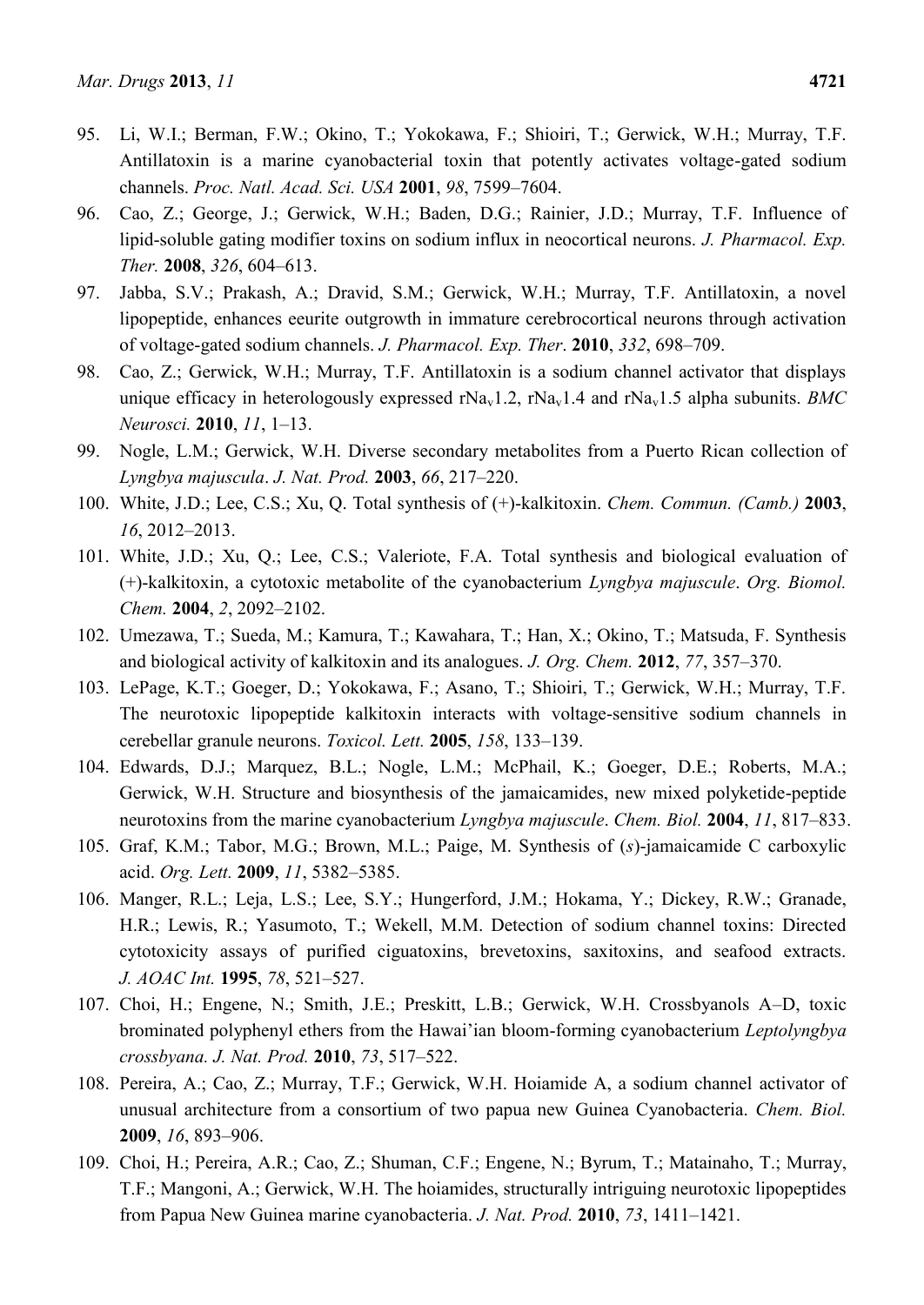- 95. Li, W.I.; Berman, F.W.; Okino, T.; Yokokawa, F.; Shioiri, T.; Gerwick, W.H.; Murray, T.F. Antillatoxin is a marine cyanobacterial toxin that potently activates voltage-gated sodium channels. *Proc. Natl. Acad. Sci. USA* **2001**, *98*, 7599–7604.
- 96. Cao, Z.; George, J.; Gerwick, W.H.; Baden, D.G.; Rainier, J.D.; Murray, T.F. Influence of lipid-soluble gating modifier toxins on sodium influx in neocortical neurons. *J. Pharmacol. Exp. Ther.* **2008**, *326*, 604–613.
- 97. Jabba, S.V.; Prakash, A.; Dravid, S.M.; Gerwick, W.H.; Murray, T.F. Antillatoxin, a novel lipopeptide, enhances eeurite outgrowth in immature cerebrocortical neurons through activation of voltage-gated sodium channels. *J. Pharmacol. Exp. Ther*. **2010**, *332*, 698–709.
- 98. Cao, Z.; Gerwick, W.H.; Murray, T.F. Antillatoxin is a sodium channel activator that displays unique efficacy in heterologously expressed  $rNa<sub>v</sub>1.2$ ,  $rNa<sub>v</sub>1.4$  and  $rNa<sub>v</sub>1.5$  alpha subunits. *BMC Neurosci.* **2010**, *11*, 1–13.
- 99. Nogle, L.M.; Gerwick, W.H. Diverse secondary metabolites from a Puerto Rican collection of *Lyngbya majuscula*. *J. Nat. Prod.* **2003**, *66*, 217–220.
- 100. White, J.D.; Lee, C.S.; Xu, Q. Total synthesis of (+)-kalkitoxin. *Chem. Commun. (Camb.)* **2003**, *16*, 2012–2013.
- 101. White, J.D.; Xu, Q.; Lee, C.S.; Valeriote, F.A. Total synthesis and biological evaluation of (+)-kalkitoxin, a cytotoxic metabolite of the cyanobacterium *Lyngbya majuscule*. *Org. Biomol. Chem.* **2004**, *2*, 2092–2102.
- 102. Umezawa, T.; Sueda, M.; Kamura, T.; Kawahara, T.; Han, X.; Okino, T.; Matsuda, F. Synthesis and biological activity of kalkitoxin and its analogues. *J. Org. Chem.* **2012**, *77*, 357–370.
- 103. LePage, K.T.; Goeger, D.; Yokokawa, F.; Asano, T.; Shioiri, T.; Gerwick, W.H.; Murray, T.F. The neurotoxic lipopeptide kalkitoxin interacts with voltage-sensitive sodium channels in cerebellar granule neurons. *Toxicol. Lett.* **2005**, *158*, 133–139.
- 104. Edwards, D.J.; Marquez, B.L.; Nogle, L.M.; McPhail, K.; Goeger, D.E.; Roberts, M.A.; Gerwick, W.H. Structure and biosynthesis of the jamaicamides, new mixed polyketide-peptide neurotoxins from the marine cyanobacterium *Lyngbya majuscule*. *Chem. Biol.* **2004**, *11*, 817–833.
- 105. Graf, K.M.; Tabor, M.G.; Brown, M.L.; Paige, M. Synthesis of (*s*)-jamaicamide C carboxylic acid. *Org. Lett.* **2009**, *11*, 5382–5385.
- 106. Manger, R.L.; Leja, L.S.; Lee, S.Y.; Hungerford, J.M.; Hokama, Y.; Dickey, R.W.; Granade, H.R.; Lewis, R.; Yasumoto, T.; Wekell, M.M. Detection of sodium channel toxins: Directed cytotoxicity assays of purified ciguatoxins, brevetoxins, saxitoxins, and seafood extracts. *J. AOAC Int.* **1995**, *78*, 521–527.
- 107. Choi, H.; Engene, N.; Smith, J.E.; Preskitt, L.B.; Gerwick, W.H. Crossbyanols A–D, toxic brominated polyphenyl ethers from the Hawai'ian bloom-forming cyanobacterium *Leptolyngbya crossbyana. J. Nat. Prod.* **2010**, *73*, 517–522.
- 108. Pereira, A.; Cao, Z.; Murray, T.F.; Gerwick, W.H. Hoiamide A, a sodium channel activator of unusual architecture from a consortium of two papua new Guinea Cyanobacteria. *Chem. Biol.* **2009**, *16*, 893–906.
- 109. Choi, H.; Pereira, A.R.; Cao, Z.; Shuman, C.F.; Engene, N.; Byrum, T.; Matainaho, T.; Murray, T.F.; Mangoni, A.; Gerwick, W.H. The hoiamides, structurally intriguing neurotoxic lipopeptides from Papua New Guinea marine cyanobacteria. *J. Nat. Prod.* **2010**, *73*, 1411–1421.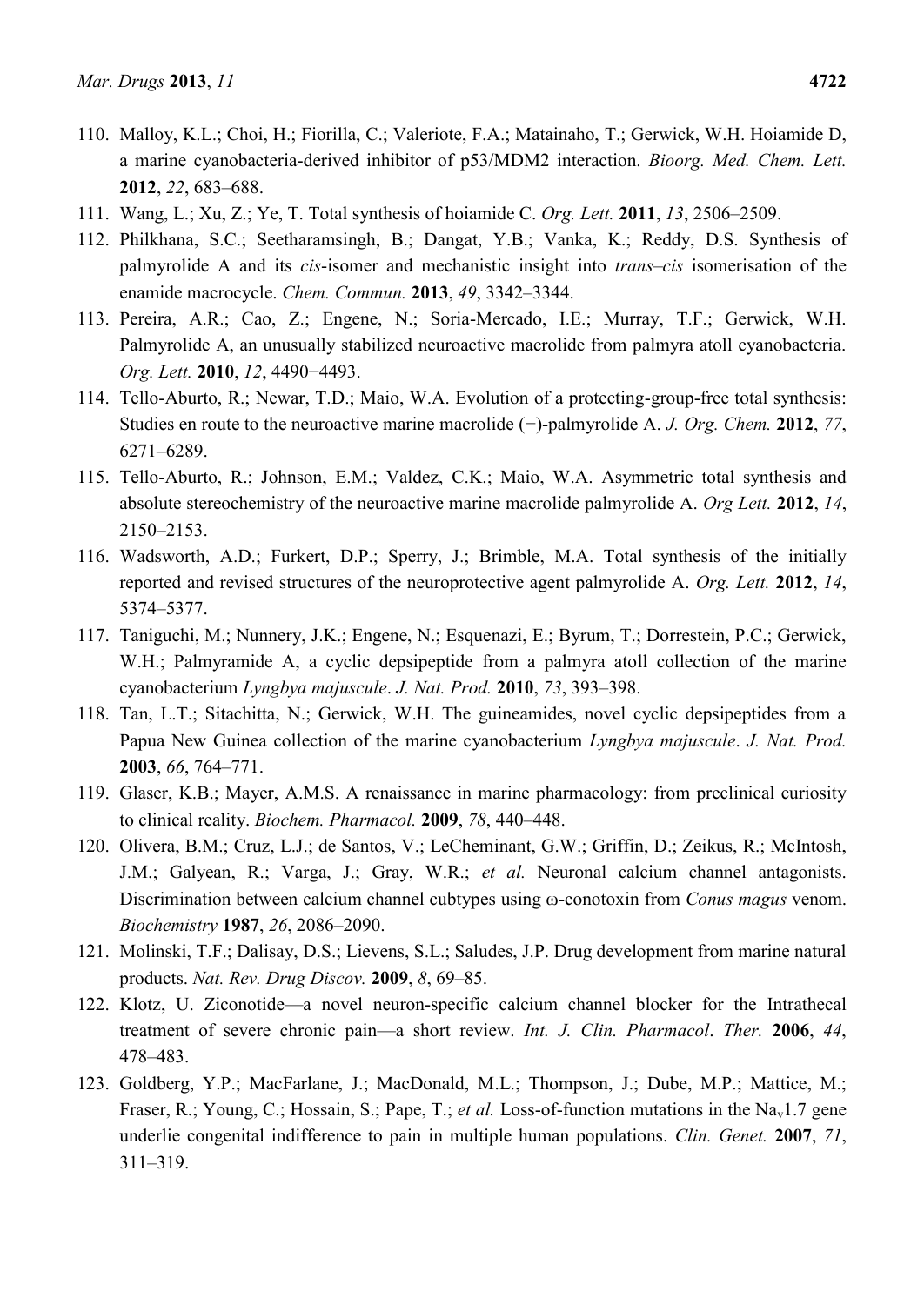- 110. Malloy, K.L.; Choi, H.; Fiorilla, C.; Valeriote, F.A.; Matainaho, T.; Gerwick, W.H. Hoiamide D, a marine cyanobacteria-derived inhibitor of p53/MDM2 interaction. *Bioorg. Med. Chem. Lett.* **2012**, *22*, 683–688.
- 111. Wang, L.; Xu, Z.; Ye, T. Total synthesis of hoiamide C. *Org. Lett.* **2011**, *13*, 2506–2509.
- 112. Philkhana, S.C.; Seetharamsingh, B.; Dangat, Y.B.; Vanka, K.; Reddy, D.S. Synthesis of palmyrolide A and its *cis*-isomer and mechanistic insight into *trans–cis* isomerisation of the enamide macrocycle. *Chem. Commun.* **2013**, *49*, 3342–3344.
- 113. Pereira, A.R.; Cao, Z.; Engene, N.; Soria-Mercado, I.E.; Murray, T.F.; Gerwick, W.H. Palmyrolide A, an unusually stabilized neuroactive macrolide from palmyra atoll cyanobacteria. *Org. Lett.* **2010**, *12*, 4490−4493.
- 114. Tello-Aburto, R.; Newar, T.D.; Maio, W.A. Evolution of a protecting-group-free total synthesis: Studies en route to the neuroactive marine macrolide (−)-palmyrolide A. *J. Org. Chem.* **2012**, *77*, 6271–6289.
- 115. Tello-Aburto, R.; Johnson, E.M.; Valdez, C.K.; Maio, W.A. Asymmetric total synthesis and absolute stereochemistry of the neuroactive marine macrolide palmyrolide A. *Org Lett.* **2012**, *14*, 2150–2153.
- 116. Wadsworth, A.D.; Furkert, D.P.; Sperry, J.; Brimble, M.A. Total synthesis of the initially reported and revised structures of the neuroprotective agent palmyrolide A. *Org. Lett.* **2012**, *14*, 5374–5377.
- 117. Taniguchi, M.; Nunnery, J.K.; Engene, N.; Esquenazi, E.; Byrum, T.; Dorrestein, P.C.; Gerwick, W.H.; Palmyramide A, a cyclic depsipeptide from a palmyra atoll collection of the marine cyanobacterium *Lyngbya majuscule*. *J. Nat. Prod.* **2010**, *73*, 393–398.
- 118. Tan, L.T.; Sitachitta, N.; Gerwick, W.H. The guineamides, novel cyclic depsipeptides from a Papua New Guinea collection of the marine cyanobacterium *Lyngbya majuscule*. *J. Nat. Prod.* **2003**, *66*, 764–771.
- 119. Glaser, K.B.; Mayer, A.M.S. A renaissance in marine pharmacology: from preclinical curiosity to clinical reality. *Biochem. Pharmacol.* **2009**, *78*, 440–448.
- 120. Olivera, B.M.; Cruz, L.J.; de Santos, V.; LeCheminant, G.W.; Griffin, D.; Zeikus, R.; McIntosh, J.M.; Galyean, R.; Varga, J.; Gray, W.R.; *et al.* Neuronal calcium channel antagonists. Discrimination between calcium channel cubtypes using ω-conotoxin from *Conus magus* venom. *Biochemistry* **1987**, *26*, 2086–2090.
- 121. Molinski, T.F.; Dalisay, D.S.; Lievens, S.L.; Saludes, J.P. Drug development from marine natural products. *Nat. Rev. Drug Discov.* **2009**, *8*, 69–85.
- 122. Klotz, U. Ziconotide—a novel neuron-specific calcium channel blocker for the Intrathecal treatment of severe chronic pain—a short review. *Int. J. Clin. Pharmacol*. *Ther.* **2006**, *44*, 478–483.
- 123. Goldberg, Y.P.; MacFarlane, J.; MacDonald, M.L.; Thompson, J.; Dube, M.P.; Mattice, M.; Fraser, R.; Young, C.; Hossain, S.; Pape, T.; *et al.* Loss-of-function mutations in the Na<sub>v</sub>1.7 gene underlie congenital indifference to pain in multiple human populations. *Clin. Genet.* **2007**, *71*, 311–319.